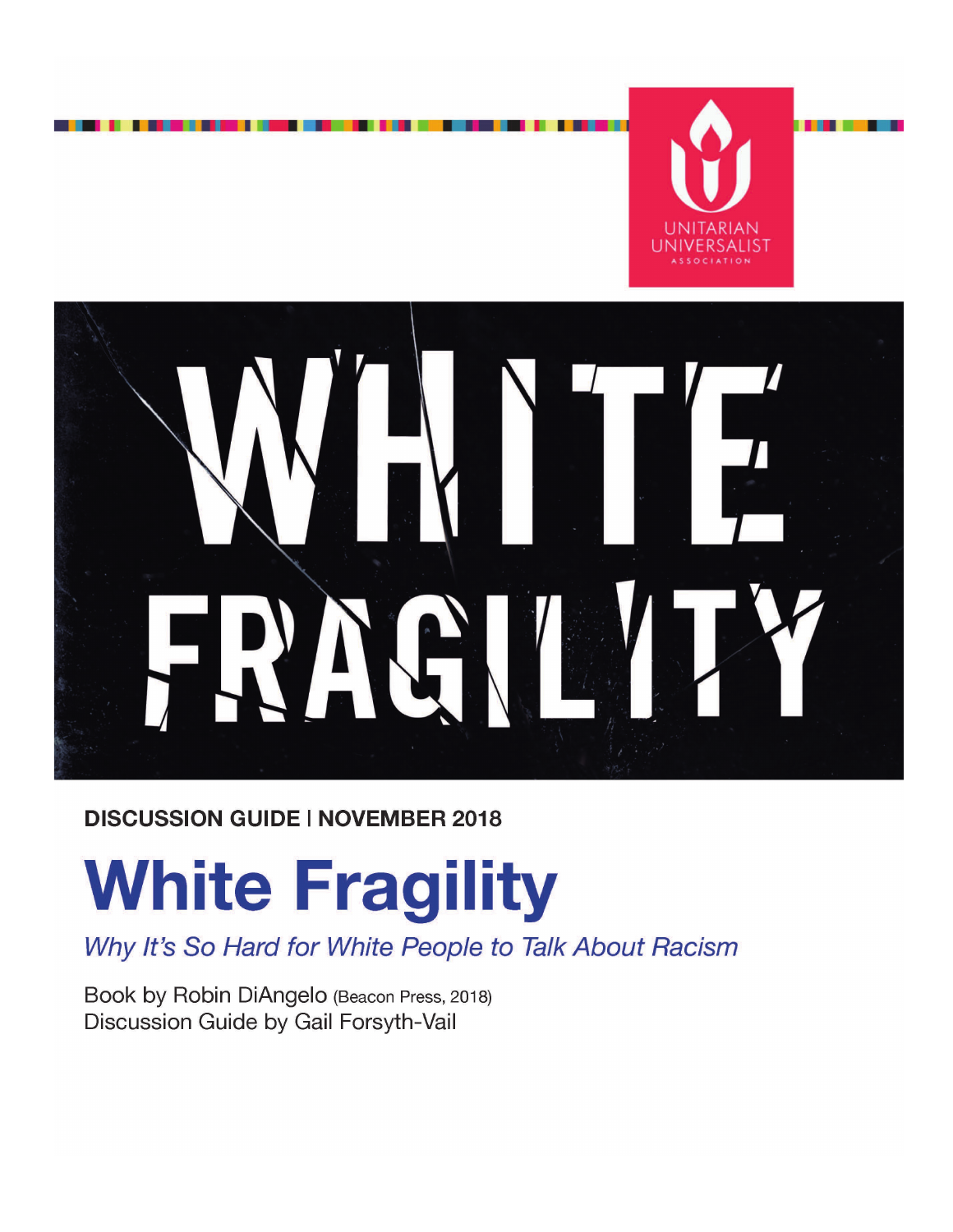

. . .



#### **DISCUSSION GUIDE | NOVEMBER 2018**

# **White Fragility**

Why It's So Hard for White People to Talk About Racism

Book by Robin DiAngelo (Beacon Press, 2018) Discussion Guide by Gail Forsyth-Vail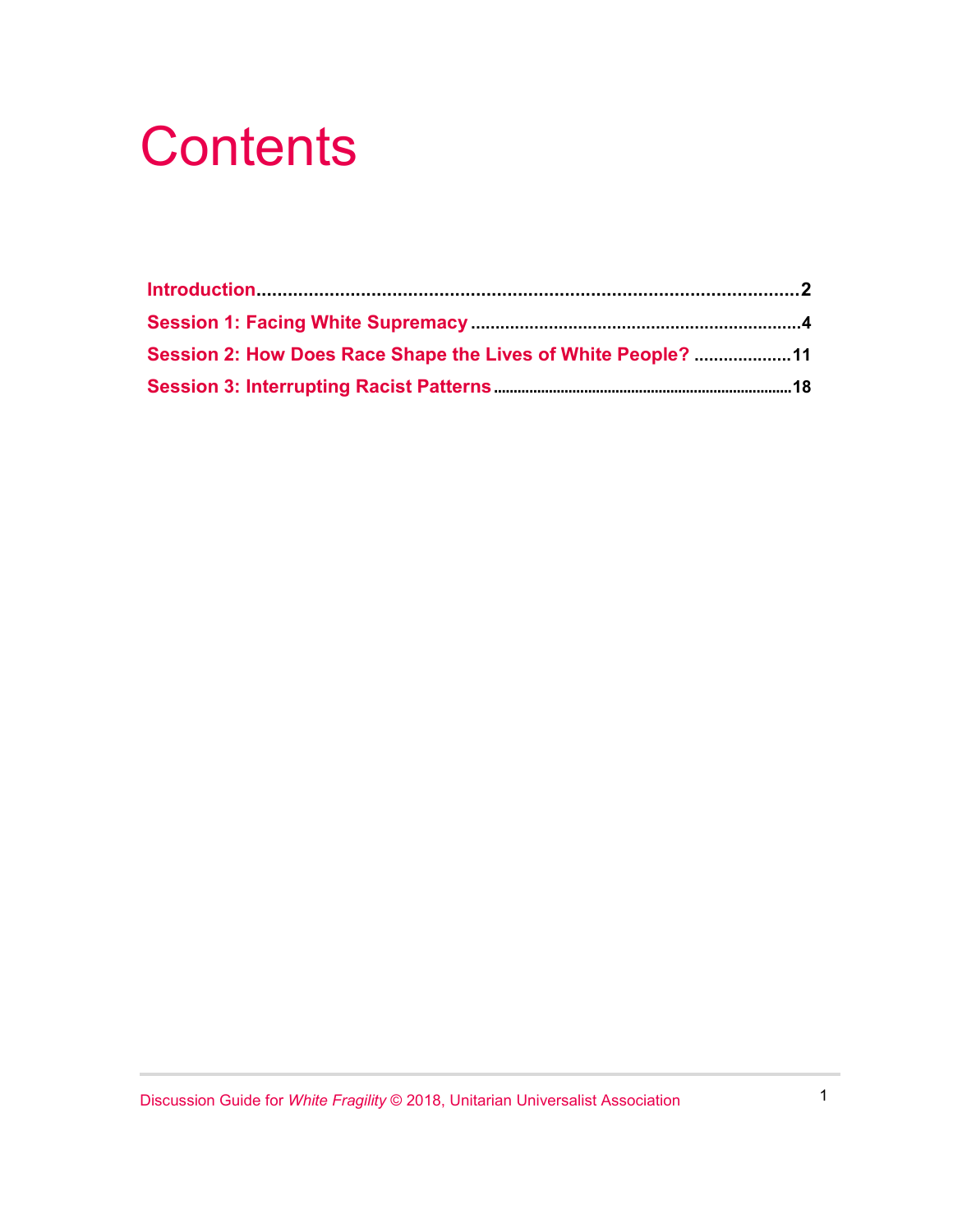## **Contents**

| Session 2: How Does Race Shape the Lives of White People? 11 |  |
|--------------------------------------------------------------|--|
|                                                              |  |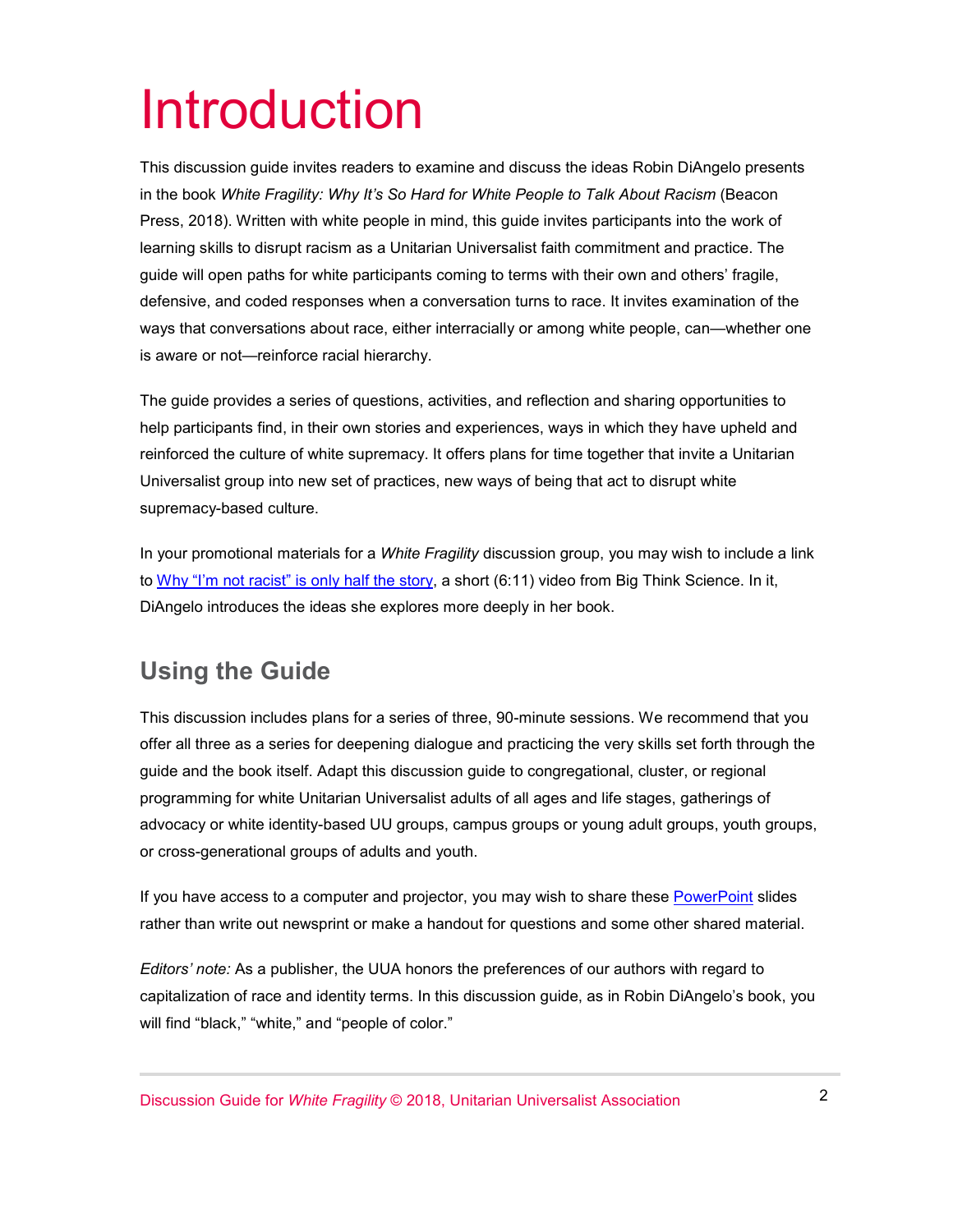## Introduction

This discussion guide invites readers to examine and discuss the ideas Robin DiAngelo presents in the book *White Fragility: Why It's So Hard for White People to Talk About Racism* (Beacon Press, 2018). Written with white people in mind, this guide invites participants into the work of learning skills to disrupt racism as a Unitarian Universalist faith commitment and practice. The guide will open paths for white participants coming to terms with their own and others' fragile, defensive, and coded responses when a conversation turns to race. It invites examination of the ways that conversations about race, either interracially or among white people, can—whether one is aware or not—reinforce racial hierarchy.

The guide provides a series of questions, activities, and reflection and sharing opportunities to help participants find, in their own stories and experiences, ways in which they have upheld and reinforced the culture of white supremacy. It offers plans for time together that invite a Unitarian Universalist group into new set of practices, new ways of being that act to disrupt white supremacy-based culture.

In your promotional materials for a *White Fragility* discussion group, you may wish to include a link to [Why "I'm not racist" is only half the story,](https://www.facebook.com/BigThinkScience/videos/272757440243386/) a short (6:11) video from Big Think Science. In it, DiAngelo introduces the ideas she explores more deeply in her book.

#### **Using the Guide**

This discussion includes plans for a series of three, 90-minute sessions. We recommend that you offer all three as a series for deepening dialogue and practicing the very skills set forth through the guide and the book itself. Adapt this discussion guide to congregational, cluster, or regional programming for white Unitarian Universalist adults of all ages and life stages, gatherings of advocacy or white identity-based UU groups, campus groups or young adult groups, youth groups, or cross-generational groups of adults and youth.

If you have access to a computer and projector, you may wish to share these [PowerPoint](https://www.uua.org/sites/live-new.uua.org/files/white_fragility_disc_guide_slides.pptx) slides rather than write out newsprint or make a handout for questions and some other shared material.

*Editors' note:* As a publisher, the UUA honors the preferences of our authors with regard to capitalization of race and identity terms. In this discussion guide, as in Robin DiAngelo's book, you will find "black," "white," and "people of color."

Discussion Guide for *White Fragility* © 2018, Unitarian Universalist Association 2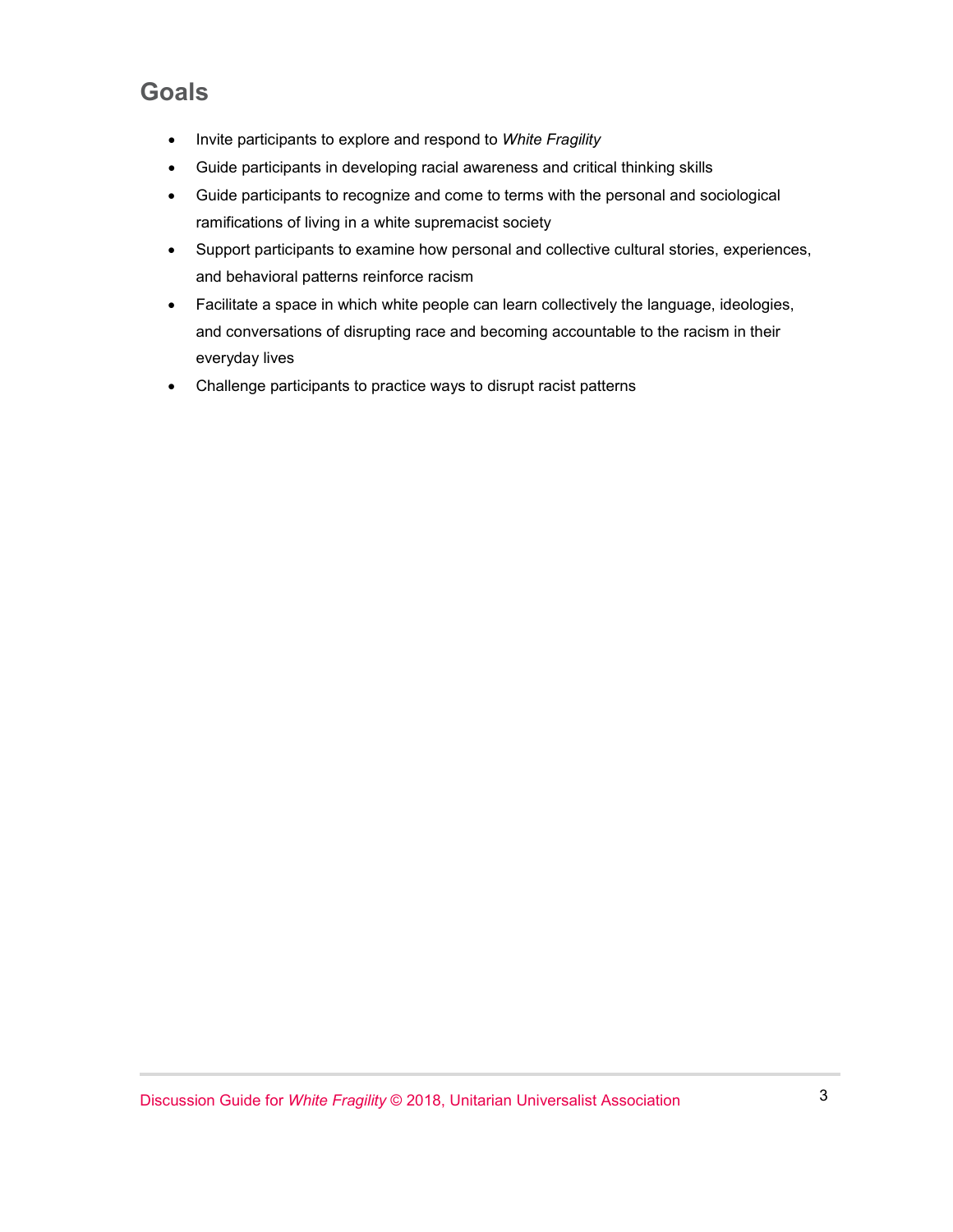#### **Goals**

- Invite participants to explore and respond to *White Fragility*
- Guide participants in developing racial awareness and critical thinking skills
- Guide participants to recognize and come to terms with the personal and sociological ramifications of living in a white supremacist society
- Support participants to examine how personal and collective cultural stories, experiences, and behavioral patterns reinforce racism
- Facilitate a space in which white people can learn collectively the language, ideologies, and conversations of disrupting race and becoming accountable to the racism in their everyday lives
- Challenge participants to practice ways to disrupt racist patterns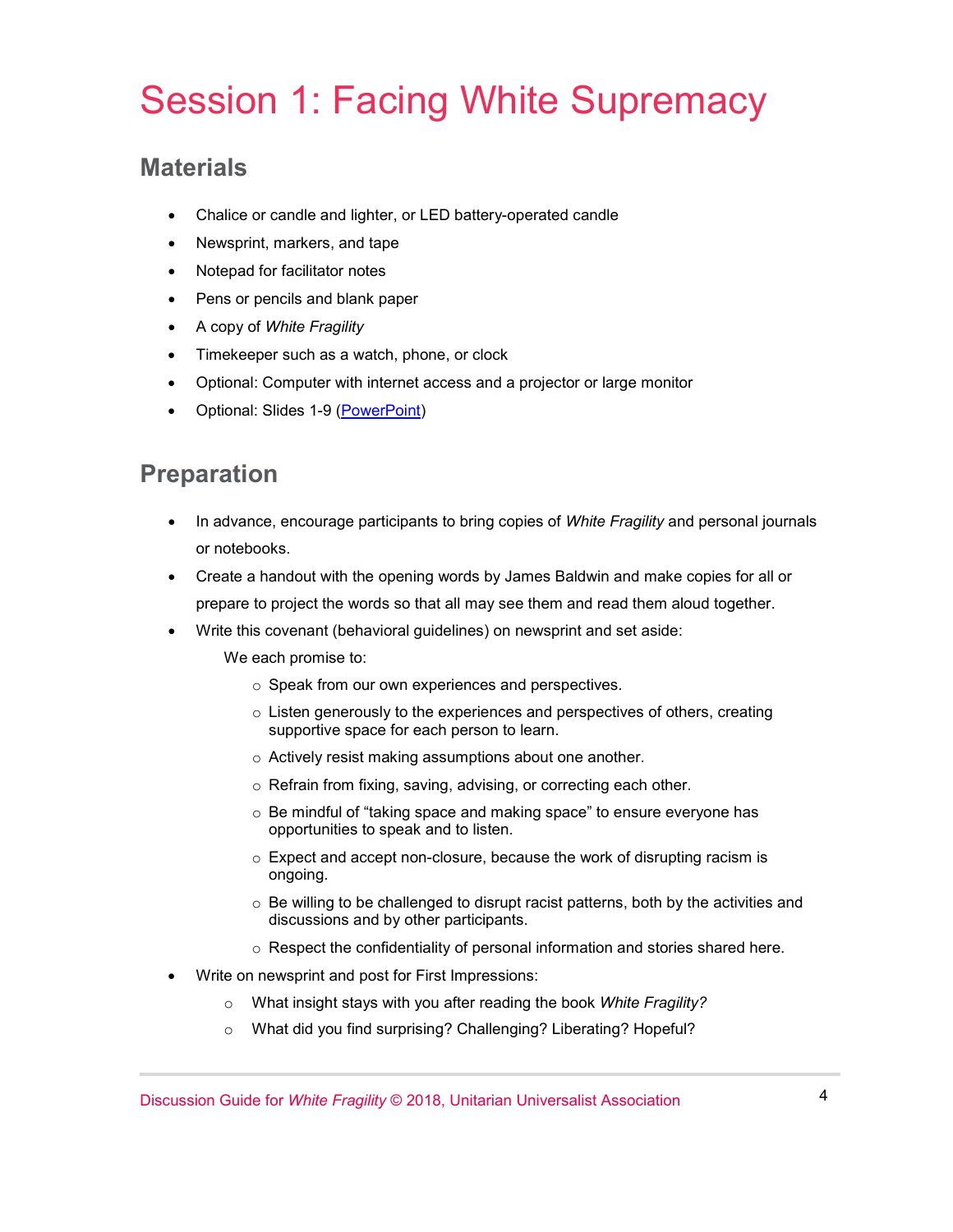## Session 1: Facing White Supremacy

#### **Materials**

- Chalice or candle and lighter, or LED battery-operated candle
- Newsprint, markers, and tape
- Notepad for facilitator notes
- Pens or pencils and blank paper
- A copy of *White Fragility*
- Timekeeper such as a watch, phone, or clock
- Optional: Computer with internet access and a projector or large monitor
- Optional: Slides 1-9 [\(PowerPoint\)](https://www.uua.org/sites/live-new.uua.org/files/white_fragility_disc_guide_slides.pptx)

#### **Preparation**

- In advance, encourage participants to bring copies of *White Fragility* and personal journals or notebooks.
- Create a handout with the opening words by James Baldwin and make copies for all or prepare to project the words so that all may see them and read them aloud together.
- Write this covenant (behavioral guidelines) on newsprint and set aside:
	- We each promise to:
		- o Speak from our own experiences and perspectives.
		- o Listen generously to the experiences and perspectives of others, creating supportive space for each person to learn.
		- o Actively resist making assumptions about one another.
		- o Refrain from fixing, saving, advising, or correcting each other.
		- o Be mindful of "taking space and making space" to ensure everyone has opportunities to speak and to listen.
		- o Expect and accept non-closure, because the work of disrupting racism is ongoing.
		- $\circ$  Be willing to be challenged to disrupt racist patterns, both by the activities and discussions and by other participants.
		- o Respect the confidentiality of personal information and stories shared here.
- Write on newsprint and post for First Impressions:
	- o What insight stays with you after reading the book *White Fragility?*
	- o What did you find surprising? Challenging? Liberating? Hopeful?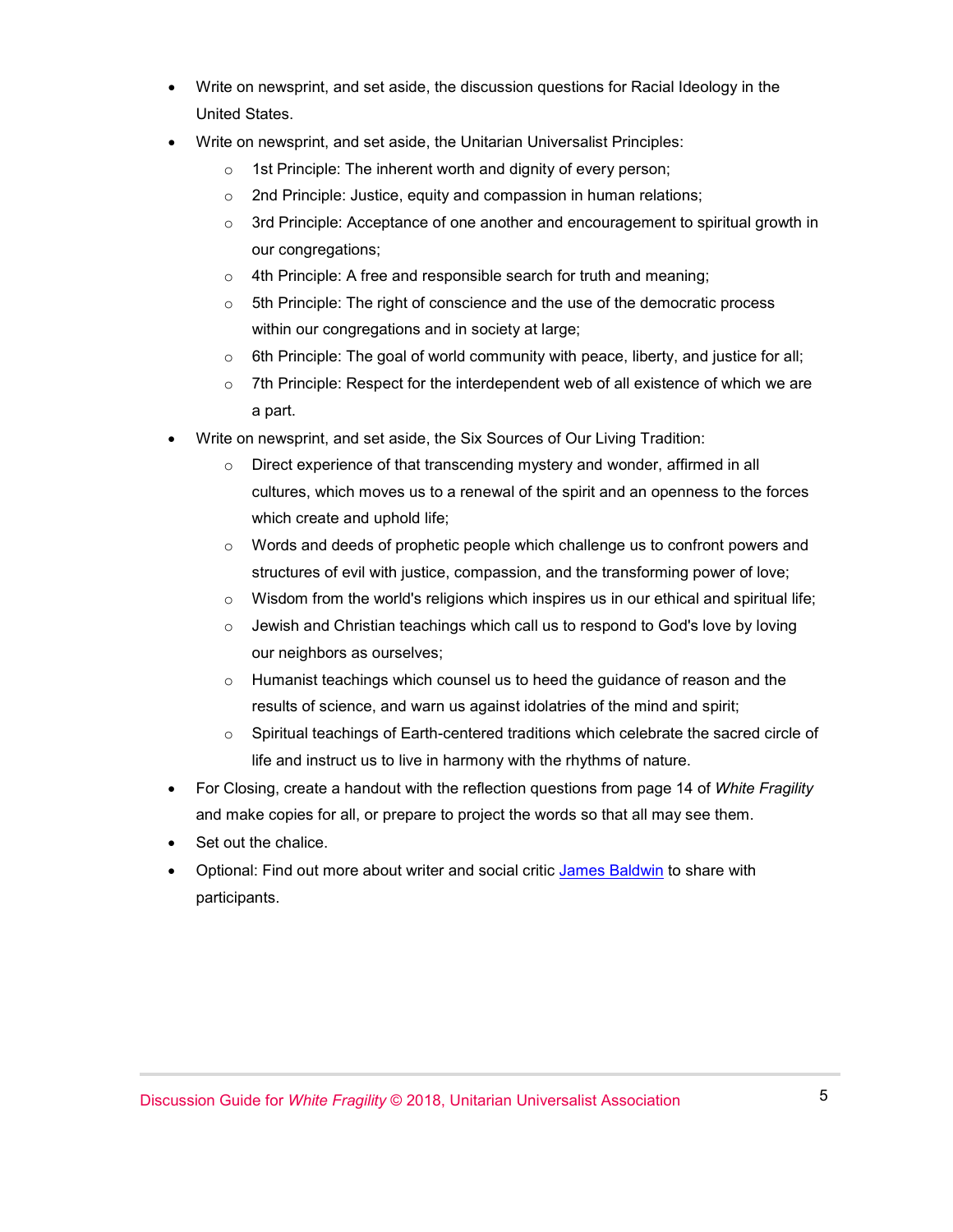- Write on newsprint, and set aside, the discussion questions for Racial Ideology in the United States.
- Write on newsprint, and set aside, the Unitarian Universalist Principles:
	- o 1st Principle: The inherent worth and dignity of every person;
	- o 2nd Principle: Justice, equity and compassion in human relations;
	- $\circ$  3rd Principle: Acceptance of one another and encouragement to spiritual growth in our congregations;
	- $\circ$  4th Principle: A free and responsible search for truth and meaning:
	- $\circ$  5th Principle: The right of conscience and the use of the democratic process within our congregations and in society at large;
	- $\circ$  6th Principle: The goal of world community with peace, liberty, and justice for all;
	- $\circ$  7th Principle: Respect for the interdependent web of all existence of which we are a part.
- Write on newsprint, and set aside, the Six Sources of Our Living Tradition:
	- o Direct experience of that transcending mystery and wonder, affirmed in all cultures, which moves us to a renewal of the spirit and an openness to the forces which create and uphold life;
	- $\circ$  Words and deeds of prophetic people which challenge us to confront powers and structures of evil with justice, compassion, and the transforming power of love;
	- $\circ$  Wisdom from the world's religions which inspires us in our ethical and spiritual life;
	- $\circ$  Jewish and Christian teachings which call us to respond to God's love by loving our neighbors as ourselves;
	- $\circ$  Humanist teachings which counsel us to heed the guidance of reason and the results of science, and warn us against idolatries of the mind and spirit;
	- o Spiritual teachings of Earth-centered traditions which celebrate the sacred circle of life and instruct us to live in harmony with the rhythms of nature.
- For Closing, create a handout with the reflection questions from page 14 of *White Fragility* and make copies for all, or prepare to project the words so that all may see them.
- Set out the chalice.
- Optional: Find out more about writer and social critic [James Baldwin](http://www.pbs.org/wnet/americanmasters/james-baldwin-about-the-author/59/) to share with participants.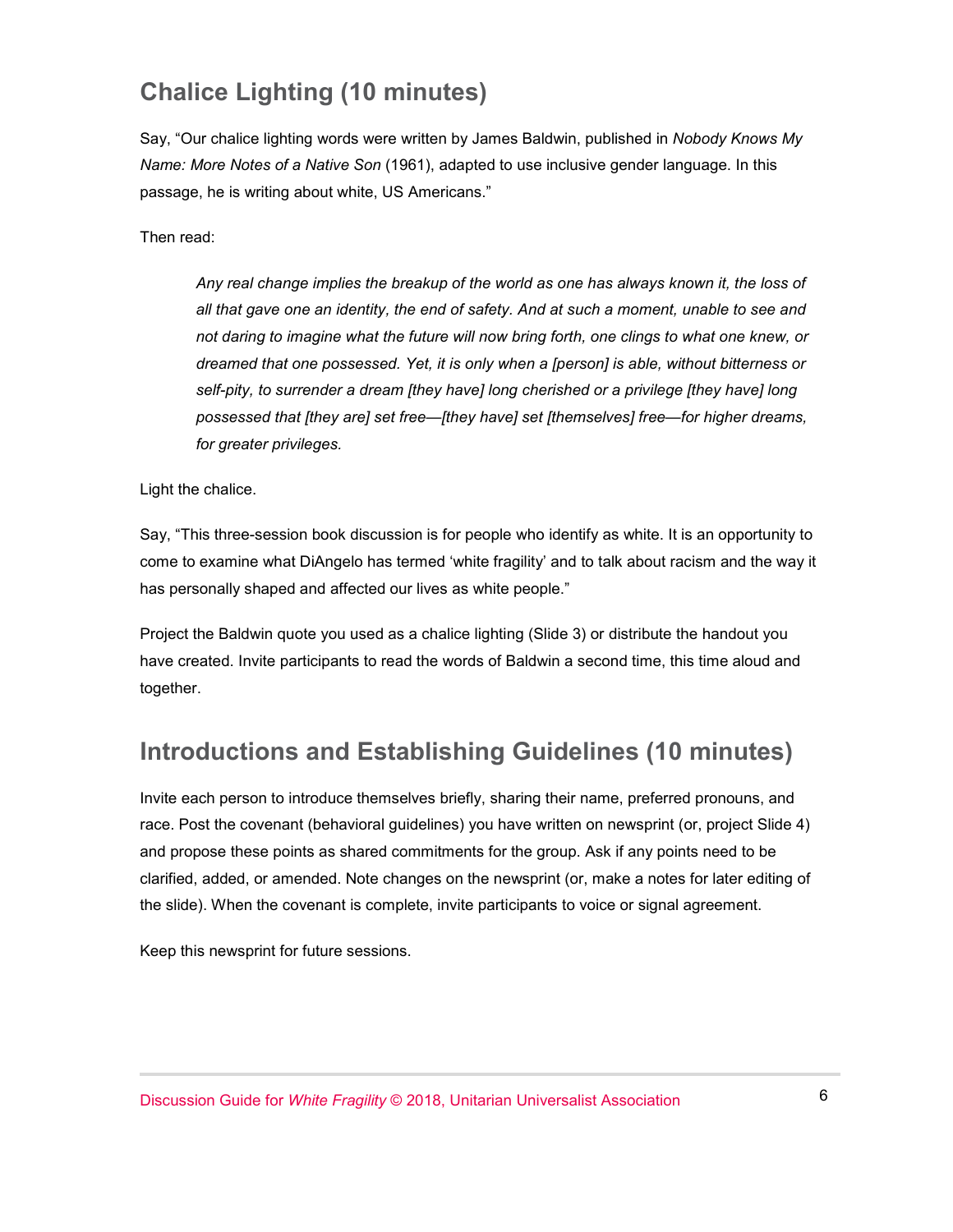#### **Chalice Lighting (10 minutes)**

Say, "Our chalice lighting words were written by James Baldwin, published in *Nobody Knows My Name: More Notes of a Native Son* (1961), adapted to use inclusive gender language. In this passage, he is writing about white, US Americans."

Then read:

*Any real change implies the breakup of the world as one has always known it, the loss of all that gave one an identity, the end of safety. And at such a moment, unable to see and not daring to imagine what the future will now bring forth, one clings to what one knew, or dreamed that one possessed. Yet, it is only when a [person] is able, without bitterness or self-pity, to surrender a dream [they have] long cherished or a privilege [they have] long possessed that [they are] set free—[they have] set [themselves] free—for higher dreams, for greater privileges.*

Light the chalice.

Say, "This three-session book discussion is for people who identify as white. It is an opportunity to come to examine what DiAngelo has termed 'white fragility' and to talk about racism and the way it has personally shaped and affected our lives as white people."

Project the Baldwin quote you used as a chalice lighting (Slide 3) or distribute the handout you have created. Invite participants to read the words of Baldwin a second time, this time aloud and together.

#### **Introductions and Establishing Guidelines (10 minutes)**

Invite each person to introduce themselves briefly, sharing their name, preferred pronouns, and race. Post the covenant (behavioral guidelines) you have written on newsprint (or, project Slide 4) and propose these points as shared commitments for the group. Ask if any points need to be clarified, added, or amended. Note changes on the newsprint (or, make a notes for later editing of the slide). When the covenant is complete, invite participants to voice or signal agreement.

Keep this newsprint for future sessions.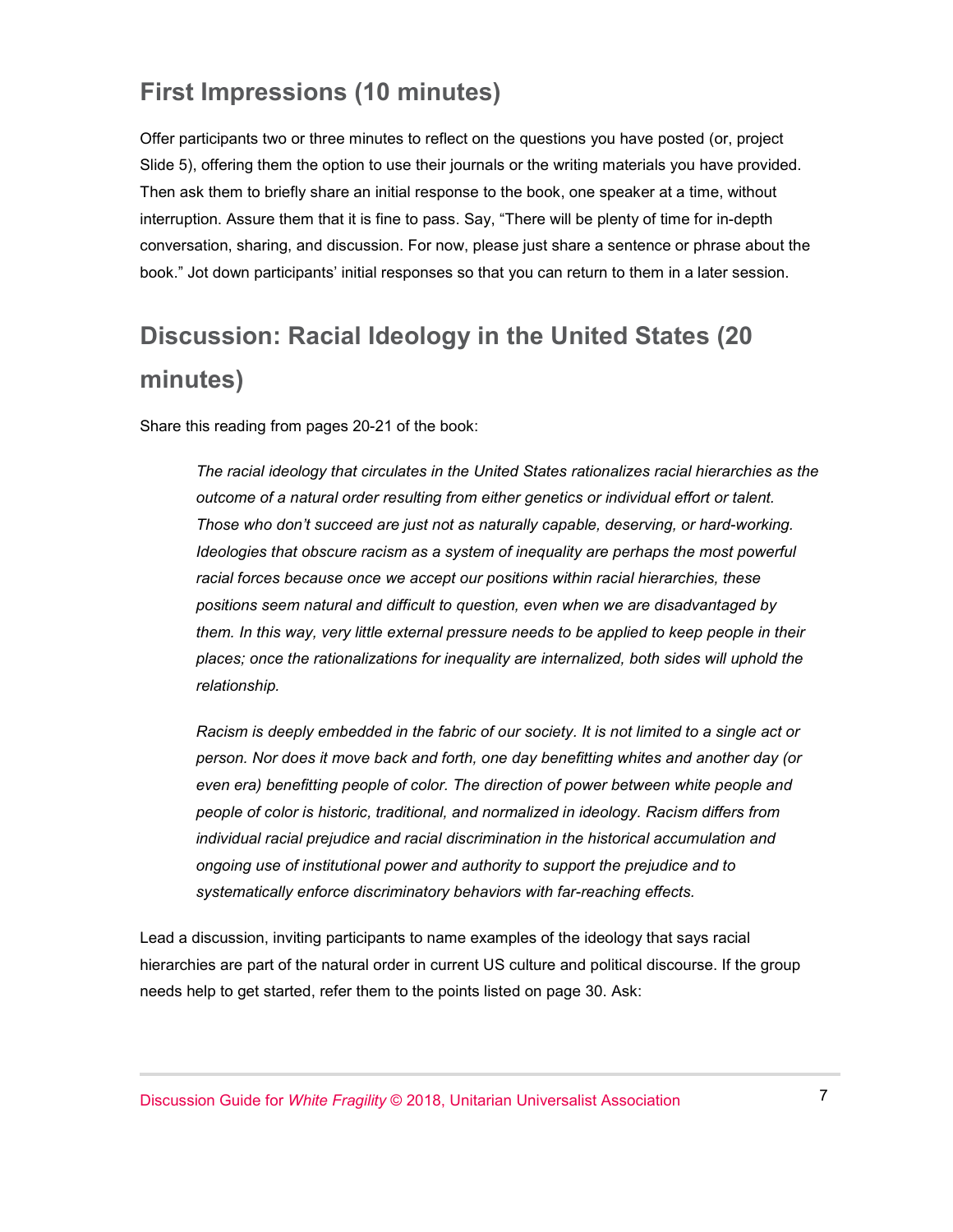#### **First Impressions (10 minutes)**

Offer participants two or three minutes to reflect on the questions you have posted (or, project Slide 5), offering them the option to use their journals or the writing materials you have provided. Then ask them to briefly share an initial response to the book, one speaker at a time, without interruption. Assure them that it is fine to pass. Say, "There will be plenty of time for in-depth conversation, sharing, and discussion. For now, please just share a sentence or phrase about the book." Jot down participants' initial responses so that you can return to them in a later session.

### **Discussion: Racial Ideology in the United States (20 minutes)**

Share this reading from pages 20-21 of the book:

*The racial ideology that circulates in the United States rationalizes racial hierarchies as the outcome of a natural order resulting from either genetics or individual effort or talent. Those who don't succeed are just not as naturally capable, deserving, or hard-working. Ideologies that obscure racism as a system of inequality are perhaps the most powerful racial forces because once we accept our positions within racial hierarchies, these positions seem natural and difficult to question, even when we are disadvantaged by them. In this way, very little external pressure needs to be applied to keep people in their places; once the rationalizations for inequality are internalized, both sides will uphold the relationship.*

*Racism is deeply embedded in the fabric of our society. It is not limited to a single act or person. Nor does it move back and forth, one day benefitting whites and another day (or*  even era) benefitting people of color. The direction of power between white people and *people of color is historic, traditional, and normalized in ideology. Racism differs from individual racial prejudice and racial discrimination in the historical accumulation and ongoing use of institutional power and authority to support the prejudice and to systematically enforce discriminatory behaviors with far-reaching effects.* 

Lead a discussion, inviting participants to name examples of the ideology that says racial hierarchies are part of the natural order in current US culture and political discourse. If the group needs help to get started, refer them to the points listed on page 30. Ask: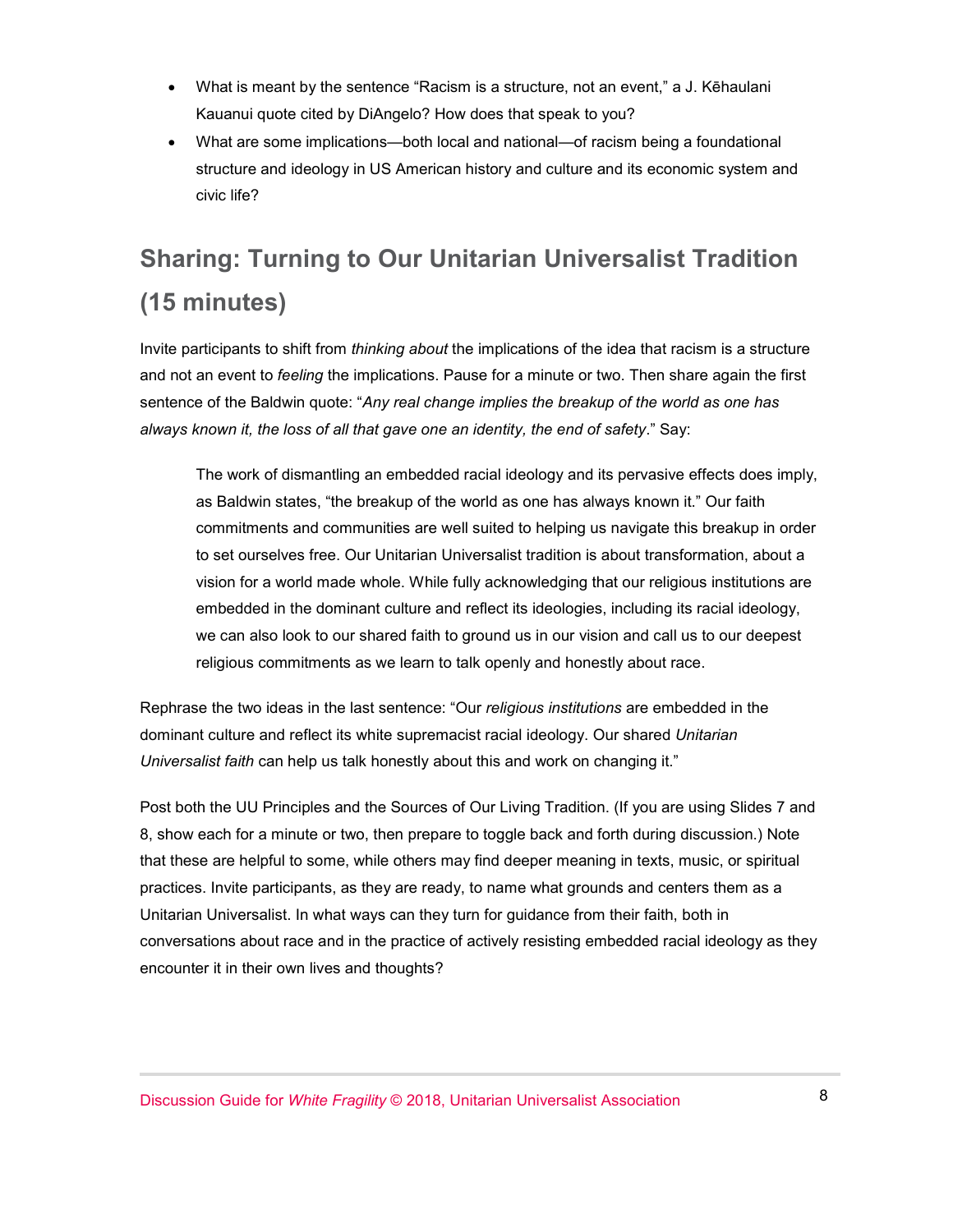- What is meant by the sentence "Racism is a structure, not an event," a J. Kēhaulani Kauanui quote cited by DiAngelo? How does that speak to you?
- What are some implications—both local and national—of racism being a foundational structure and ideology in US American history and culture and its economic system and civic life?

## **Sharing: Turning to Our Unitarian Universalist Tradition (15 minutes)**

Invite participants to shift from *thinking about* the implications of the idea that racism is a structure and not an event to *feeling* the implications. Pause for a minute or two. Then share again the first sentence of the Baldwin quote: "*Any real change implies the breakup of the world as one has always known it, the loss of all that gave one an identity, the end of safety*." Say:

The work of dismantling an embedded racial ideology and its pervasive effects does imply, as Baldwin states, "the breakup of the world as one has always known it." Our faith commitments and communities are well suited to helping us navigate this breakup in order to set ourselves free. Our Unitarian Universalist tradition is about transformation, about a vision for a world made whole. While fully acknowledging that our religious institutions are embedded in the dominant culture and reflect its ideologies, including its racial ideology, we can also look to our shared faith to ground us in our vision and call us to our deepest religious commitments as we learn to talk openly and honestly about race.

Rephrase the two ideas in the last sentence: "Our *religious institutions* are embedded in the dominant culture and reflect its white supremacist racial ideology. Our shared *Unitarian Universalist faith* can help us talk honestly about this and work on changing it."

Post both the UU Principles and the Sources of Our Living Tradition. (If you are using Slides 7 and 8, show each for a minute or two, then prepare to toggle back and forth during discussion.) Note that these are helpful to some, while others may find deeper meaning in texts, music, or spiritual practices. Invite participants, as they are ready, to name what grounds and centers them as a Unitarian Universalist. In what ways can they turn for guidance from their faith, both in conversations about race and in the practice of actively resisting embedded racial ideology as they encounter it in their own lives and thoughts?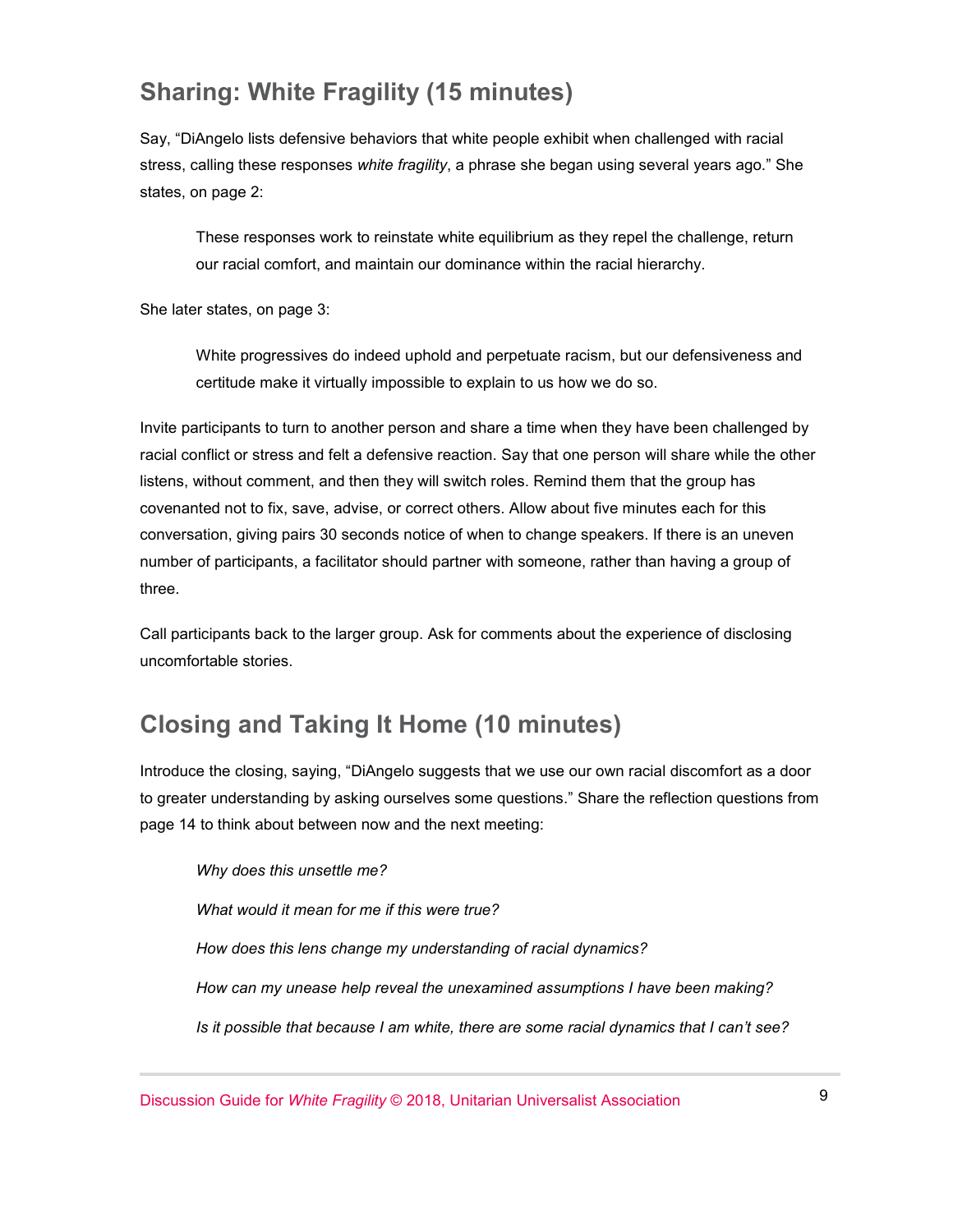#### **Sharing: White Fragility (15 minutes)**

Say, "DiAngelo lists defensive behaviors that white people exhibit when challenged with racial stress, calling these responses *white fragility*, a phrase she began using several years ago." She states, on page 2:

These responses work to reinstate white equilibrium as they repel the challenge, return our racial comfort, and maintain our dominance within the racial hierarchy.

She later states, on page 3:

White progressives do indeed uphold and perpetuate racism, but our defensiveness and certitude make it virtually impossible to explain to us how we do so.

Invite participants to turn to another person and share a time when they have been challenged by racial conflict or stress and felt a defensive reaction. Say that one person will share while the other listens, without comment, and then they will switch roles. Remind them that the group has covenanted not to fix, save, advise, or correct others. Allow about five minutes each for this conversation, giving pairs 30 seconds notice of when to change speakers. If there is an uneven number of participants, a facilitator should partner with someone, rather than having a group of three.

Call participants back to the larger group. Ask for comments about the experience of disclosing uncomfortable stories.

#### **Closing and Taking It Home (10 minutes)**

Introduce the closing, saying, "DiAngelo suggests that we use our own racial discomfort as a door to greater understanding by asking ourselves some questions." Share the reflection questions from page 14 to think about between now and the next meeting:

*Why does this unsettle me? What would it mean for me if this were true? How does this lens change my understanding of racial dynamics? How can my unease help reveal the unexamined assumptions I have been making? Is it possible that because I am white, there are some racial dynamics that I can't see?*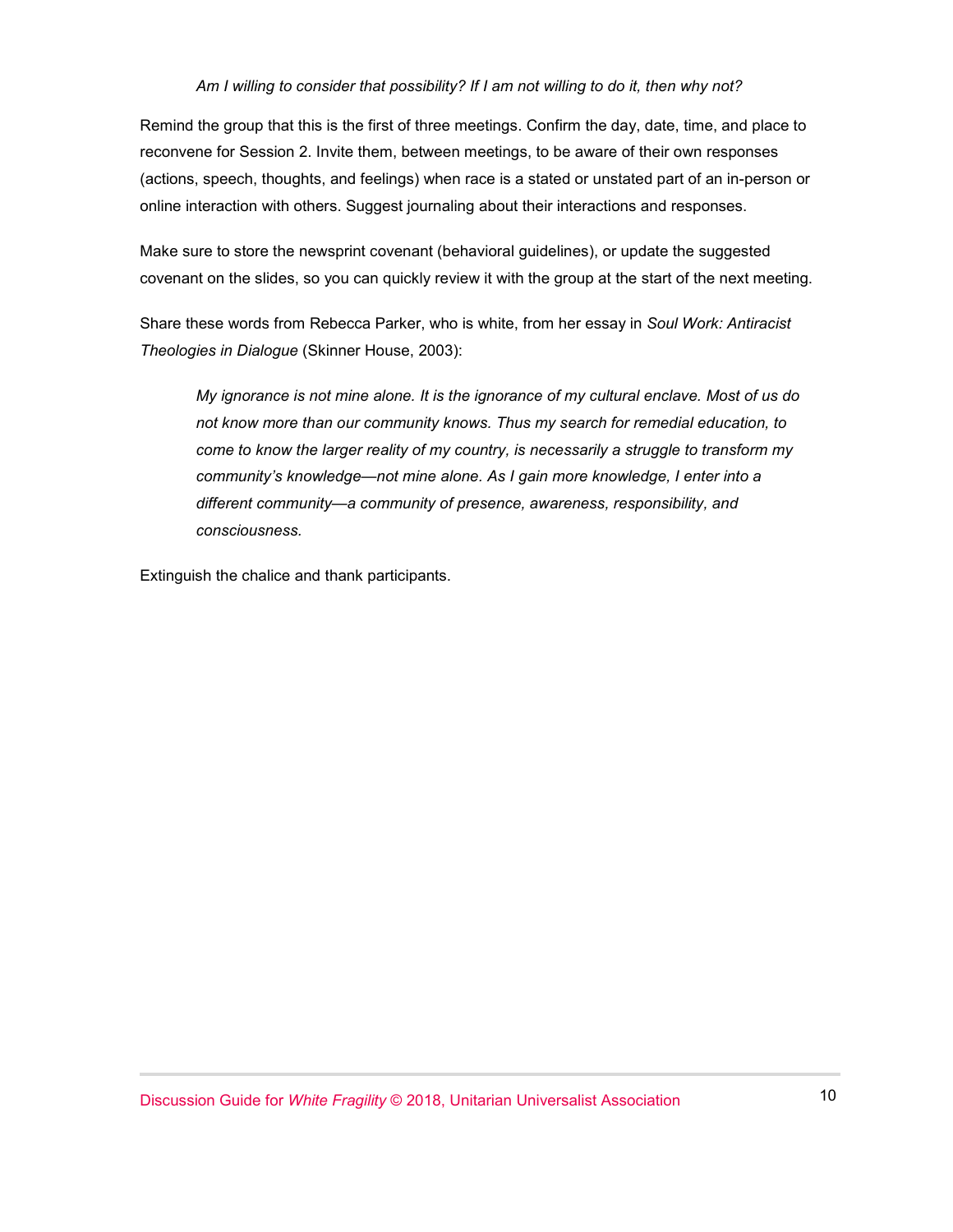#### *Am I willing to consider that possibility? If I am not willing to do it, then why not?*

Remind the group that this is the first of three meetings. Confirm the day, date, time, and place to reconvene for Session 2. Invite them, between meetings, to be aware of their own responses (actions, speech, thoughts, and feelings) when race is a stated or unstated part of an in-person or online interaction with others. Suggest journaling about their interactions and responses.

Make sure to store the newsprint covenant (behavioral guidelines), or update the suggested covenant on the slides, so you can quickly review it with the group at the start of the next meeting.

Share these words from Rebecca Parker, who is white, from her essay in *Soul Work: Antiracist Theologies in Dialogue* (Skinner House, 2003):

*My ignorance is not mine alone. It is the ignorance of my cultural enclave. Most of us do not know more than our community knows. Thus my search for remedial education, to come to know the larger reality of my country, is necessarily a struggle to transform my community's knowledge—not mine alone. As I gain more knowledge, I enter into a different community—a community of presence, awareness, responsibility, and consciousness.*

Extinguish the chalice and thank participants.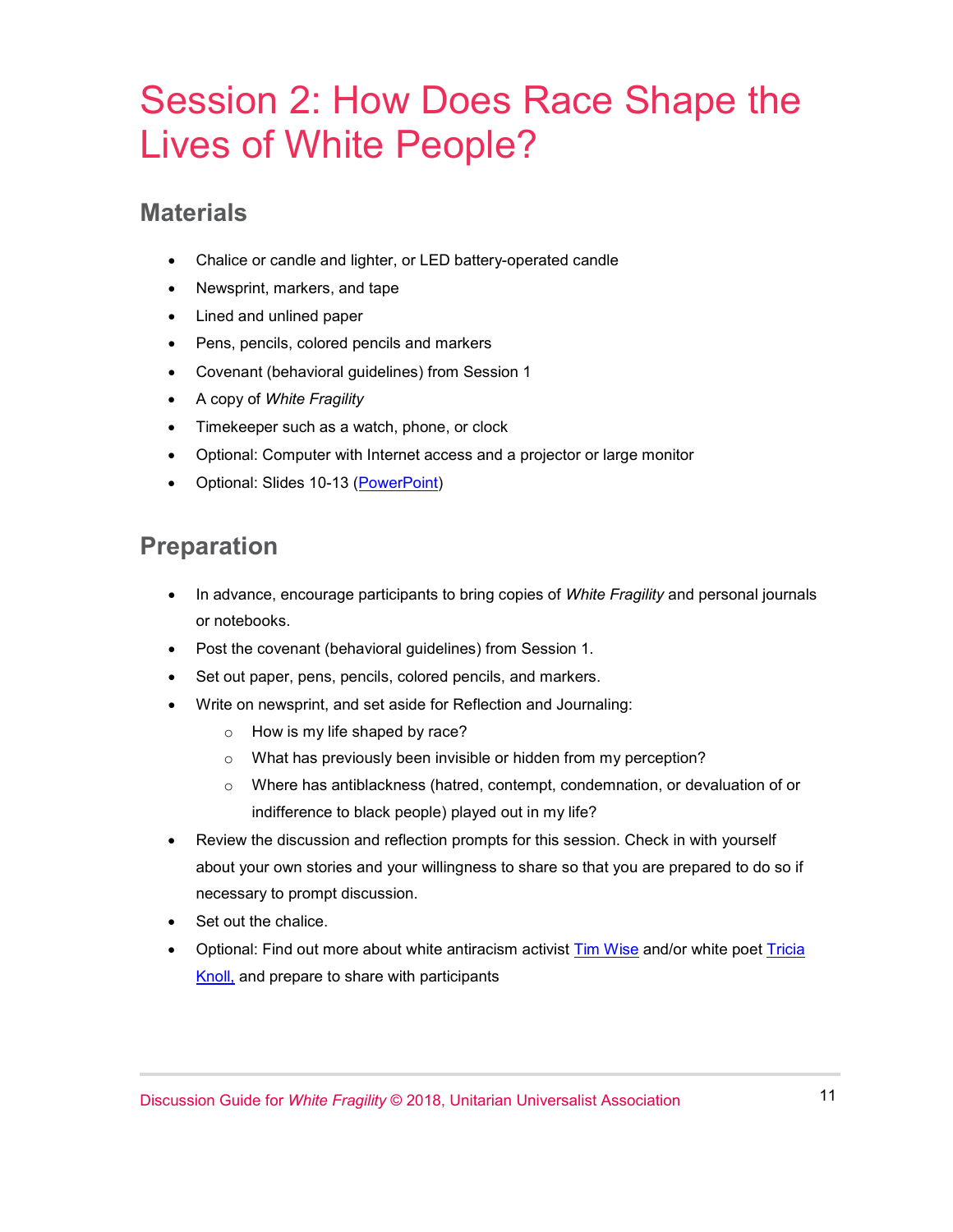## Session 2: How Does Race Shape the Lives of White People?

#### **Materials**

- Chalice or candle and lighter, or LED battery-operated candle
- Newsprint, markers, and tape
- Lined and unlined paper
- Pens, pencils, colored pencils and markers
- Covenant (behavioral guidelines) from Session 1
- A copy of *White Fragility*
- Timekeeper such as a watch, phone, or clock
- Optional: Computer with Internet access and a projector or large monitor
- Optional: Slides 10-13 [\(PowerPoint\)](https://www.uua.org/sites/live-new.uua.org/files/white_fragility_disc_guide_slides.pptx)

#### **Preparation**

- In advance, encourage participants to bring copies of *White Fragility* and personal journals or notebooks.
- Post the covenant (behavioral guidelines) from Session 1.
- Set out paper, pens, pencils, colored pencils, and markers.
- Write on newsprint, and set aside for Reflection and Journaling:
	- o How is my life shaped by race?
	- o What has previously been invisible or hidden from my perception?
	- o Where has antiblackness (hatred, contempt, condemnation, or devaluation of or indifference to black people) played out in my life?
- Review the discussion and reflection prompts for this session. Check in with yourself about your own stories and your willingness to share so that you are prepared to do so if necessary to prompt discussion.
- Set out the chalice.
- Optional: Find out more about white antiracism activist [Tim Wise](https://www.speakoutnow.org/speaker/wise-tim) and/or white poet [Tricia](http://triciaknoll.com/)  [Knoll,](http://triciaknoll.com/) and prepare to share with participants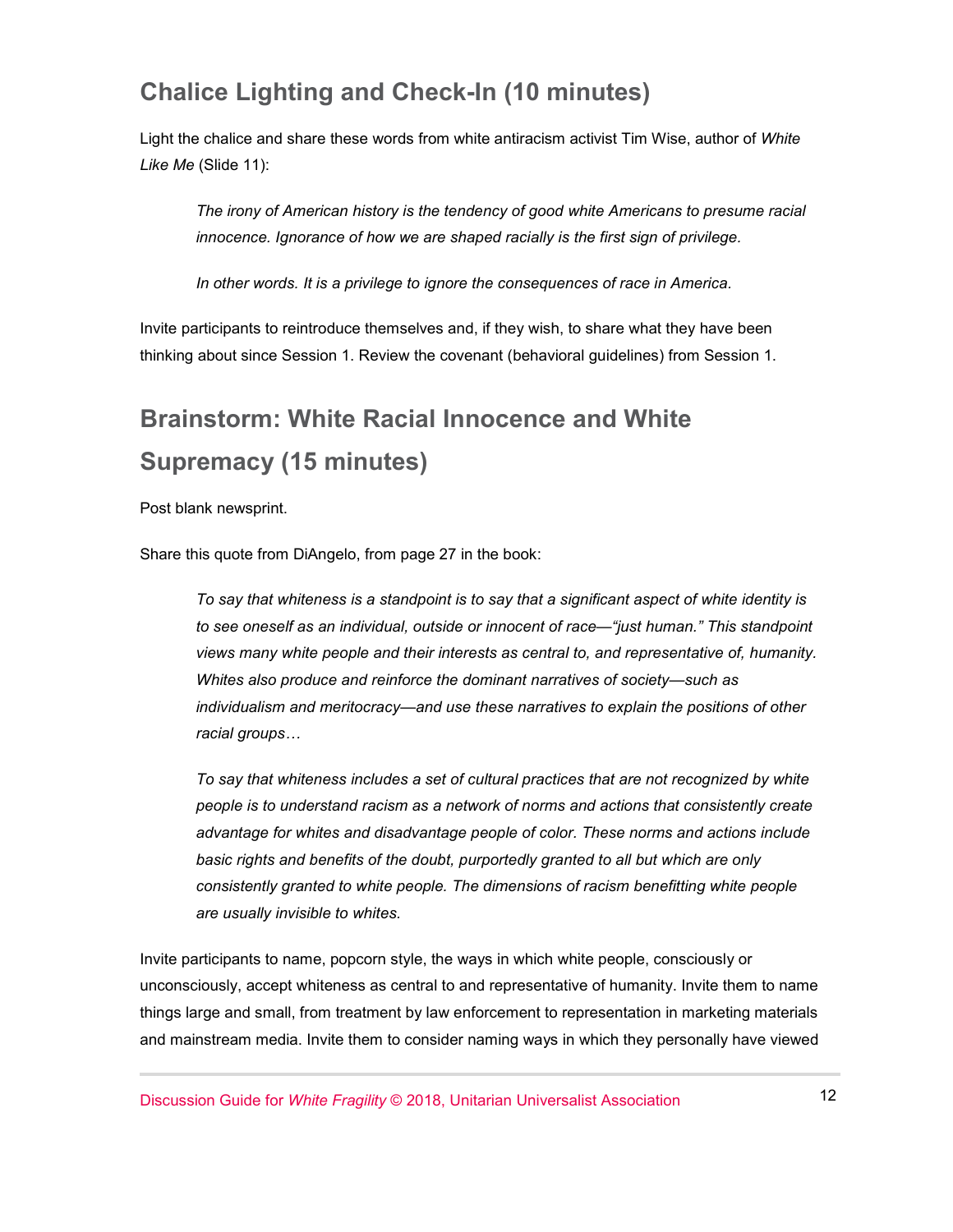#### **Chalice Lighting and Check-In (10 minutes)**

Light the chalice and share these words from white antiracism activist Tim Wise, author of *White Like Me* (Slide 11):

*The irony of American history is the tendency of good white Americans to presume racial innocence. Ignorance of how we are shaped racially is the first sign of privilege.*

*In other words. It is a privilege to ignore the consequences of race in America.*

Invite participants to reintroduce themselves and, if they wish, to share what they have been thinking about since Session 1. Review the covenant (behavioral guidelines) from Session 1.

## **Brainstorm: White Racial Innocence and White Supremacy (15 minutes)**

Post blank newsprint.

Share this quote from DiAngelo, from page 27 in the book:

*To say that whiteness is a standpoint is to say that a significant aspect of white identity is to see oneself as an individual, outside or innocent of race—"just human." This standpoint views many white people and their interests as central to, and representative of, humanity. Whites also produce and reinforce the dominant narratives of society—such as individualism and meritocracy—and use these narratives to explain the positions of other racial groups…*

*To say that whiteness includes a set of cultural practices that are not recognized by white people is to understand racism as a network of norms and actions that consistently create advantage for whites and disadvantage people of color. These norms and actions include basic rights and benefits of the doubt, purportedly granted to all but which are only consistently granted to white people. The dimensions of racism benefitting white people are usually invisible to whites.*

Invite participants to name, popcorn style, the ways in which white people, consciously or unconsciously, accept whiteness as central to and representative of humanity. Invite them to name things large and small, from treatment by law enforcement to representation in marketing materials and mainstream media. Invite them to consider naming ways in which they personally have viewed

Discussion Guide for *White Fragility* © 2018, Unitarian Universalist Association 12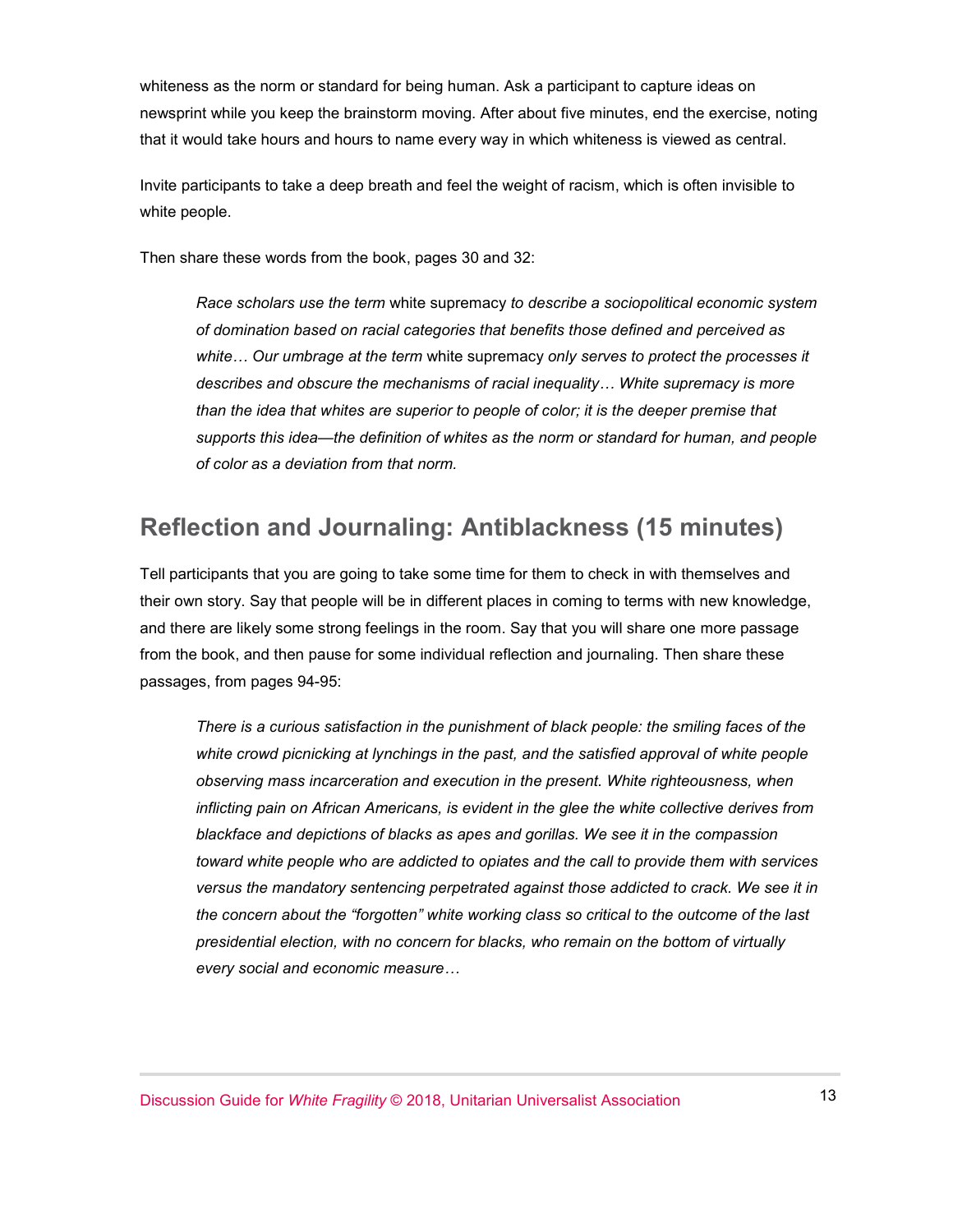whiteness as the norm or standard for being human. Ask a participant to capture ideas on newsprint while you keep the brainstorm moving. After about five minutes, end the exercise, noting that it would take hours and hours to name every way in which whiteness is viewed as central.

Invite participants to take a deep breath and feel the weight of racism, which is often invisible to white people.

Then share these words from the book, pages 30 and 32:

*Race scholars use the term* white supremacy *to describe a sociopolitical economic system of domination based on racial categories that benefits those defined and perceived as white… Our umbrage at the term* white supremacy *only serves to protect the processes it describes and obscure the mechanisms of racial inequality… White supremacy is more than the idea that whites are superior to people of color; it is the deeper premise that supports this idea—the definition of whites as the norm or standard for human, and people of color as a deviation from that norm.*

#### **Reflection and Journaling: Antiblackness (15 minutes)**

Tell participants that you are going to take some time for them to check in with themselves and their own story. Say that people will be in different places in coming to terms with new knowledge, and there are likely some strong feelings in the room. Say that you will share one more passage from the book, and then pause for some individual reflection and journaling. Then share these passages, from pages 94-95:

*There is a curious satisfaction in the punishment of black people: the smiling faces of the*  white crowd picnicking at lynchings in the past, and the satisfied approval of white people *observing mass incarceration and execution in the present. White righteousness, when inflicting pain on African Americans, is evident in the glee the white collective derives from blackface and depictions of blacks as apes and gorillas. We see it in the compassion toward white people who are addicted to opiates and the call to provide them with services versus the mandatory sentencing perpetrated against those addicted to crack. We see it in the concern about the "forgotten" white working class so critical to the outcome of the last presidential election, with no concern for blacks, who remain on the bottom of virtually every social and economic measure…*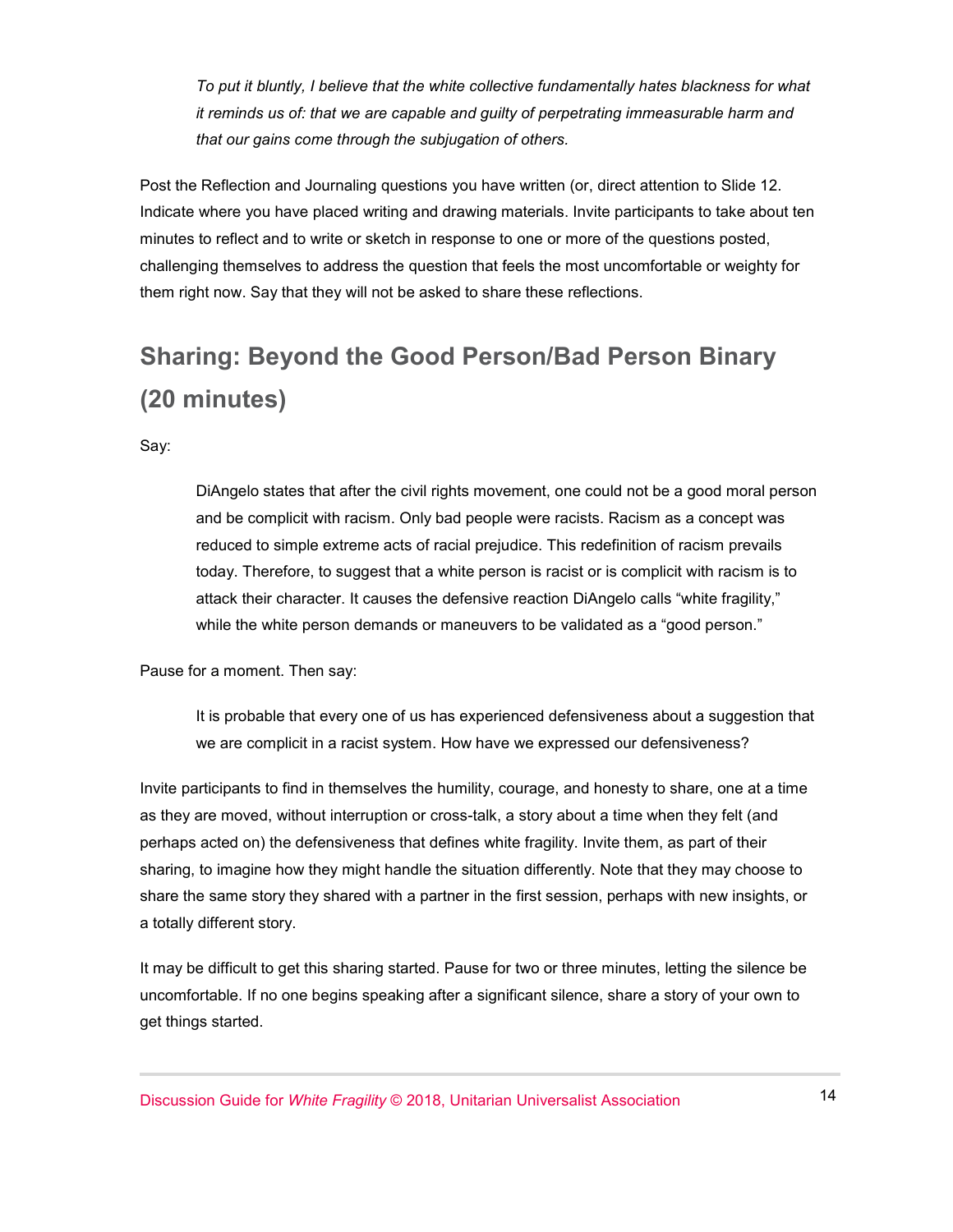*To put it bluntly, I believe that the white collective fundamentally hates blackness for what it reminds us of: that we are capable and guilty of perpetrating immeasurable harm and that our gains come through the subjugation of others.*

Post the Reflection and Journaling questions you have written (or, direct attention to Slide 12. Indicate where you have placed writing and drawing materials. Invite participants to take about ten minutes to reflect and to write or sketch in response to one or more of the questions posted, challenging themselves to address the question that feels the most uncomfortable or weighty for them right now. Say that they will not be asked to share these reflections.

## **Sharing: Beyond the Good Person/Bad Person Binary (20 minutes)**

Say:

DiAngelo states that after the civil rights movement, one could not be a good moral person and be complicit with racism. Only bad people were racists. Racism as a concept was reduced to simple extreme acts of racial prejudice. This redefinition of racism prevails today. Therefore, to suggest that a white person is racist or is complicit with racism is to attack their character. It causes the defensive reaction DiAngelo calls "white fragility," while the white person demands or maneuvers to be validated as a "good person."

Pause for a moment. Then say:

It is probable that every one of us has experienced defensiveness about a suggestion that we are complicit in a racist system. How have we expressed our defensiveness?

Invite participants to find in themselves the humility, courage, and honesty to share, one at a time as they are moved, without interruption or cross-talk, a story about a time when they felt (and perhaps acted on) the defensiveness that defines white fragility. Invite them, as part of their sharing, to imagine how they might handle the situation differently. Note that they may choose to share the same story they shared with a partner in the first session, perhaps with new insights, or a totally different story.

It may be difficult to get this sharing started. Pause for two or three minutes, letting the silence be uncomfortable. If no one begins speaking after a significant silence, share a story of your own to get things started.

Discussion Guide for *White Fragility* © 2018, Unitarian Universalist Association 14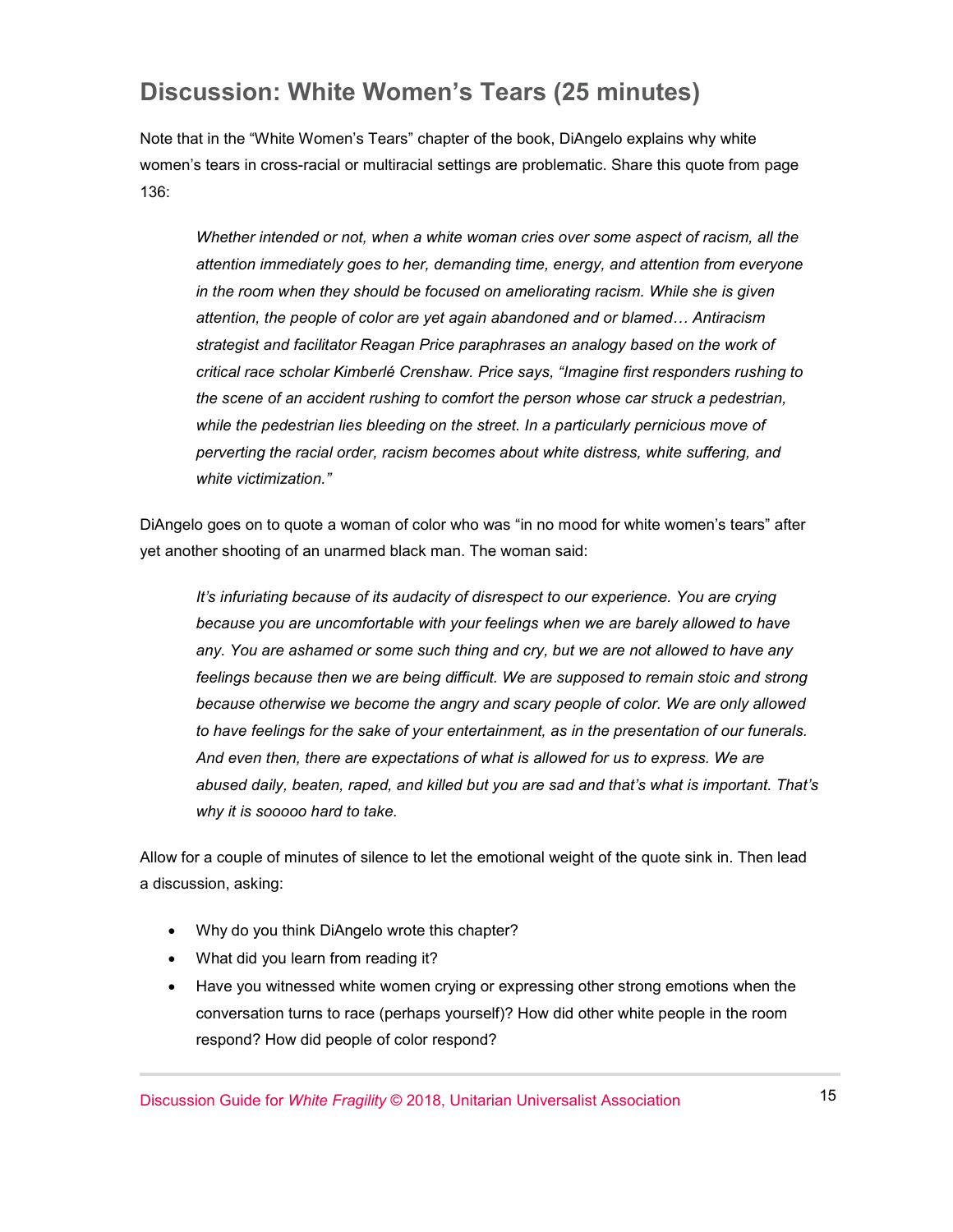#### **Discussion: White Women's Tears (25 minutes)**

Note that in the "White Women's Tears" chapter of the book, DiAngelo explains why white women's tears in cross-racial or multiracial settings are problematic. Share this quote from page 136:

*Whether intended or not, when a white woman cries over some aspect of racism, all the attention immediately goes to her, demanding time, energy, and attention from everyone in the room when they should be focused on ameliorating racism. While she is given attention, the people of color are yet again abandoned and or blamed… Antiracism strategist and facilitator Reagan Price paraphrases an analogy based on the work of critical race scholar Kimberlé Crenshaw. Price says, "Imagine first responders rushing to the scene of an accident rushing to comfort the person whose car struck a pedestrian, while the pedestrian lies bleeding on the street. In a particularly pernicious move of perverting the racial order, racism becomes about white distress, white suffering, and white victimization."*

DiAngelo goes on to quote a woman of color who was "in no mood for white women's tears" after yet another shooting of an unarmed black man. The woman said:

*It's infuriating because of its audacity of disrespect to our experience. You are crying because you are uncomfortable with your feelings when we are barely allowed to have any. You are ashamed or some such thing and cry, but we are not allowed to have any*  feelings because then we are being difficult. We are supposed to remain stoic and strong *because otherwise we become the angry and scary people of color. We are only allowed to have feelings for the sake of your entertainment, as in the presentation of our funerals. And even then, there are expectations of what is allowed for us to express. We are abused daily, beaten, raped, and killed but you are sad and that's what is important. That's why it is sooooo hard to take.*

Allow for a couple of minutes of silence to let the emotional weight of the quote sink in. Then lead a discussion, asking:

- Why do you think DiAngelo wrote this chapter?
- What did you learn from reading it?
- Have you witnessed white women crying or expressing other strong emotions when the conversation turns to race (perhaps yourself)? How did other white people in the room respond? How did people of color respond?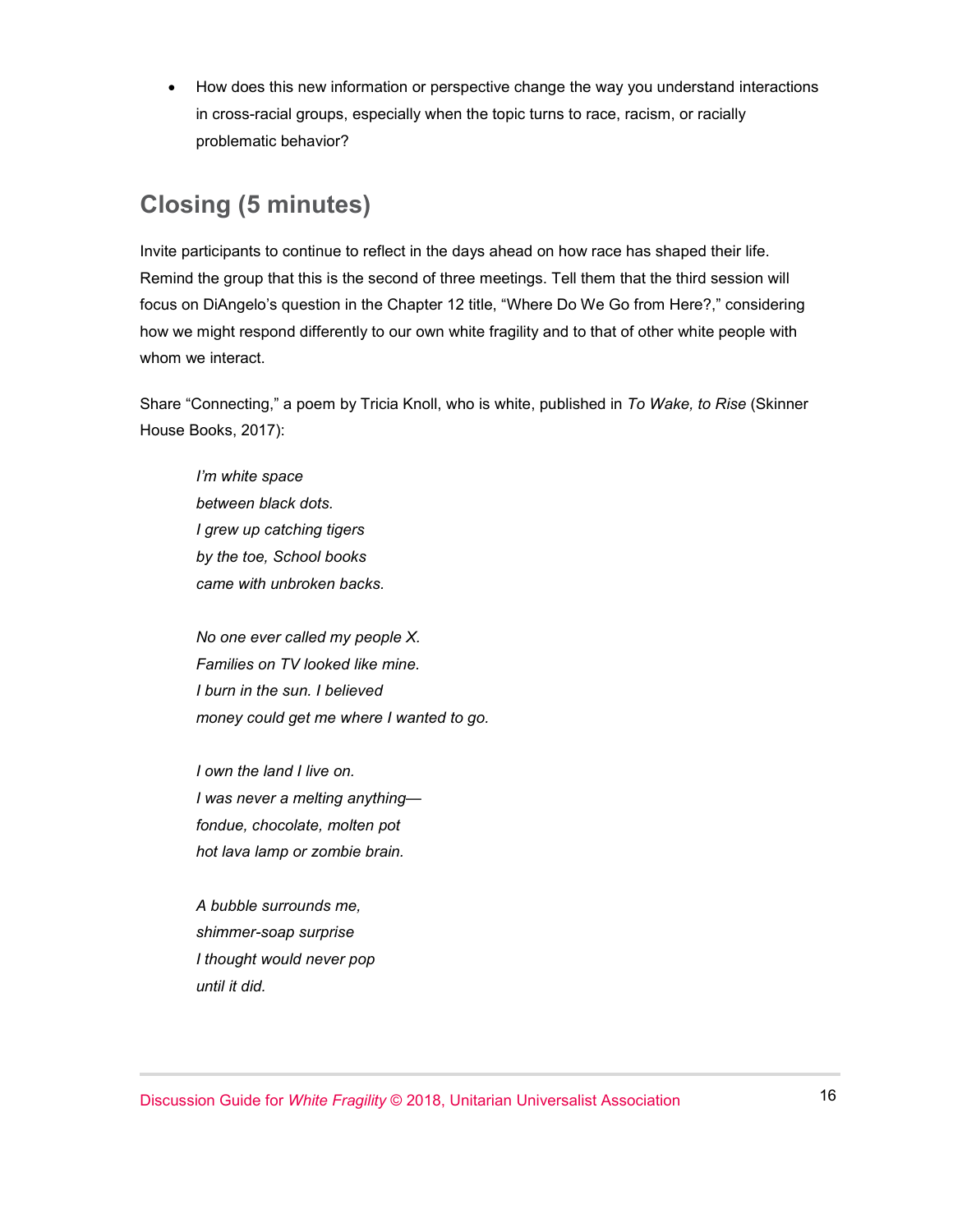• How does this new information or perspective change the way you understand interactions in cross-racial groups, especially when the topic turns to race, racism, or racially problematic behavior?

#### **Closing (5 minutes)**

Invite participants to continue to reflect in the days ahead on how race has shaped their life. Remind the group that this is the second of three meetings. Tell them that the third session will focus on DiAngelo's question in the Chapter 12 title, "Where Do We Go from Here?," considering how we might respond differently to our own white fragility and to that of other white people with whom we interact.

Share "Connecting," a poem by Tricia Knoll, who is white, published in *To Wake, to Rise* (Skinner House Books, 2017):

*I'm white space between black dots. I grew up catching tigers by the toe, School books came with unbroken backs.*

*No one ever called my people X. Families on TV looked like mine. I burn in the sun. I believed money could get me where I wanted to go.*

*I own the land I live on. I was never a melting anything fondue, chocolate, molten pot hot lava lamp or zombie brain.*

*A bubble surrounds me, shimmer-soap surprise I thought would never pop until it did.*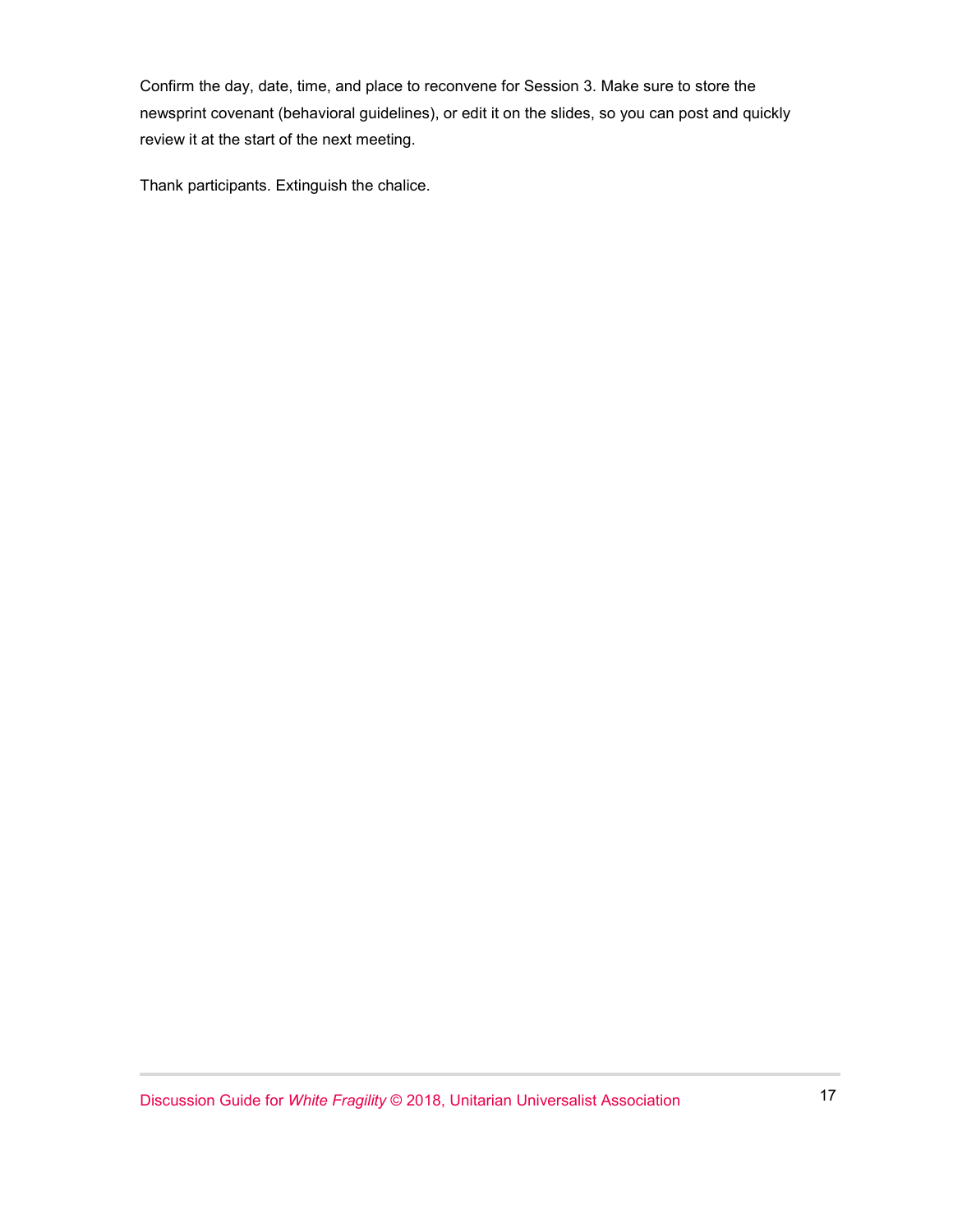Confirm the day, date, time, and place to reconvene for Session 3. Make sure to store the newsprint covenant (behavioral guidelines), or edit it on the slides, so you can post and quickly review it at the start of the next meeting.

Thank participants. Extinguish the chalice.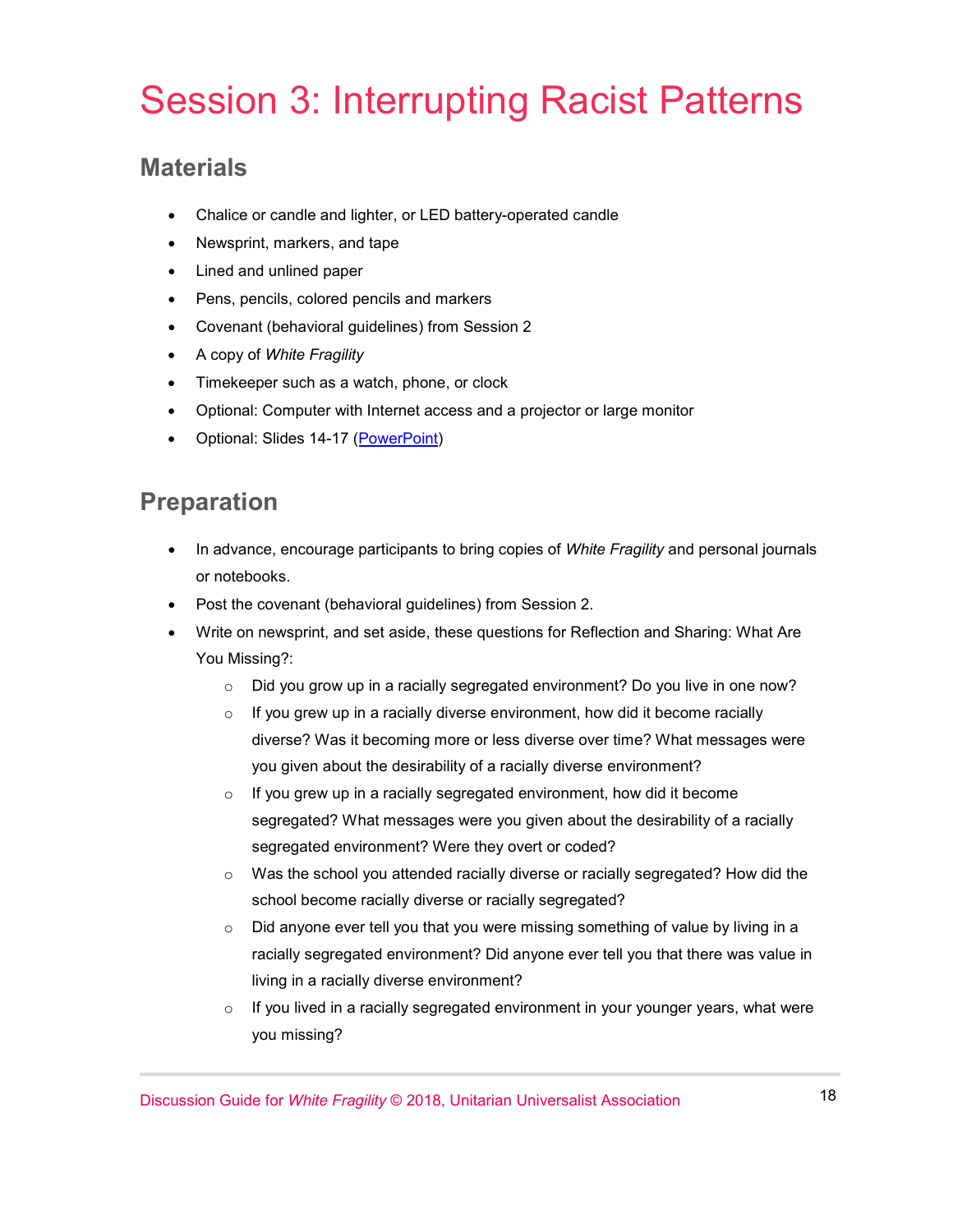## Session 3: Interrupting Racist Patterns

#### **Materials**

- Chalice or candle and lighter, or LED battery-operated candle
- Newsprint, markers, and tape
- Lined and unlined paper
- Pens, pencils, colored pencils and markers
- Covenant (behavioral guidelines) from Session 2
- A copy of *White Fragility*
- Timekeeper such as a watch, phone, or clock
- Optional: Computer with Internet access and a projector or large monitor
- Optional: Slides 14-17 [\(PowerPoint\)](https://www.uua.org/sites/live-new.uua.org/files/white_fragility_disc_guide_slides.pptx)

#### **Preparation**

- In advance, encourage participants to bring copies of *White Fragility* and personal journals or notebooks.
- Post the covenant (behavioral guidelines) from Session 2.
- Write on newsprint, and set aside, these questions for Reflection and Sharing: What Are You Missing?:
	- o Did you grow up in a racially segregated environment? Do you live in one now?
	- $\circ$  If you grew up in a racially diverse environment, how did it become racially diverse? Was it becoming more or less diverse over time? What messages were you given about the desirability of a racially diverse environment?
	- $\circ$  If you grew up in a racially segregated environment, how did it become segregated? What messages were you given about the desirability of a racially segregated environment? Were they overt or coded?
	- o Was the school you attended racially diverse or racially segregated? How did the school become racially diverse or racially segregated?
	- $\circ$  Did anyone ever tell you that you were missing something of value by living in a racially segregated environment? Did anyone ever tell you that there was value in living in a racially diverse environment?
	- $\circ$  If you lived in a racially segregated environment in your younger years, what were you missing?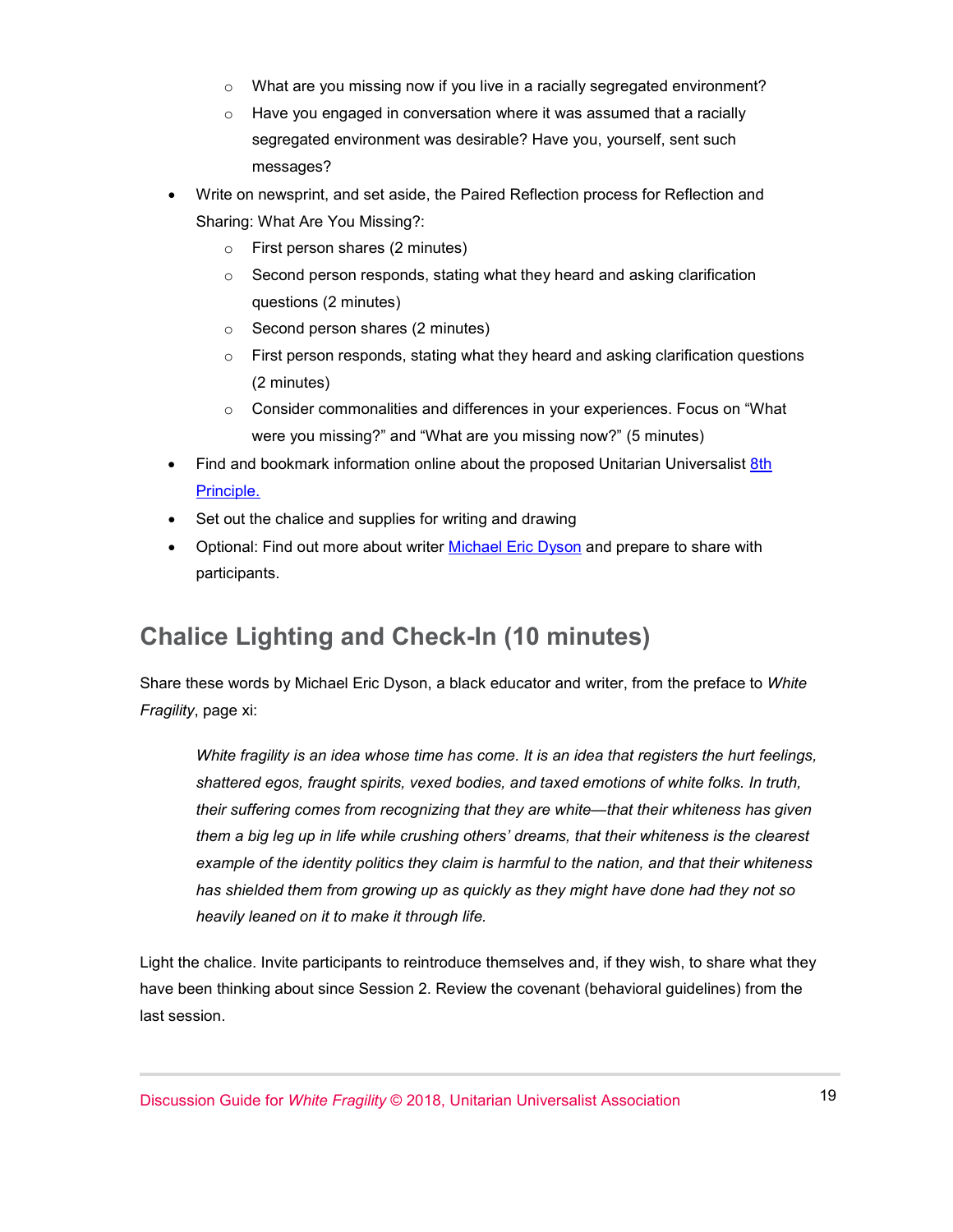- $\circ$  What are you missing now if you live in a racially segregated environment?
- o Have you engaged in conversation where it was assumed that a racially segregated environment was desirable? Have you, yourself, sent such messages?
- Write on newsprint, and set aside, the Paired Reflection process for Reflection and Sharing: What Are You Missing?:
	- o First person shares (2 minutes)
	- o Second person responds, stating what they heard and asking clarification questions (2 minutes)
	- o Second person shares (2 minutes)
	- $\circ$  First person responds, stating what they heard and asking clarification questions (2 minutes)
	- o Consider commonalities and differences in your experiences. Focus on "What were you missing?" and "What are you missing now?" (5 minutes)
- Find and bookmark information online about the proposed Unitarian Universalist 8th [Principle.](https://www.8thprincipleuu.org/)
- Set out the chalice and supplies for writing and drawing
- Optional: Find out more about writer [Michael Eric Dyson](http://michaelericdyson.com/) and prepare to share with participants.

#### **Chalice Lighting and Check-In (10 minutes)**

Share these words by Michael Eric Dyson, a black educator and writer, from the preface to *White Fragility*, page xi:

*White fragility is an idea whose time has come. It is an idea that registers the hurt feelings, shattered egos, fraught spirits, vexed bodies, and taxed emotions of white folks. In truth, their suffering comes from recognizing that they are white—that their whiteness has given them a big leg up in life while crushing others' dreams, that their whiteness is the clearest example of the identity politics they claim is harmful to the nation, and that their whiteness has shielded them from growing up as quickly as they might have done had they not so heavily leaned on it to make it through life.* 

Light the chalice. Invite participants to reintroduce themselves and, if they wish, to share what they have been thinking about since Session 2. Review the covenant (behavioral guidelines) from the last session.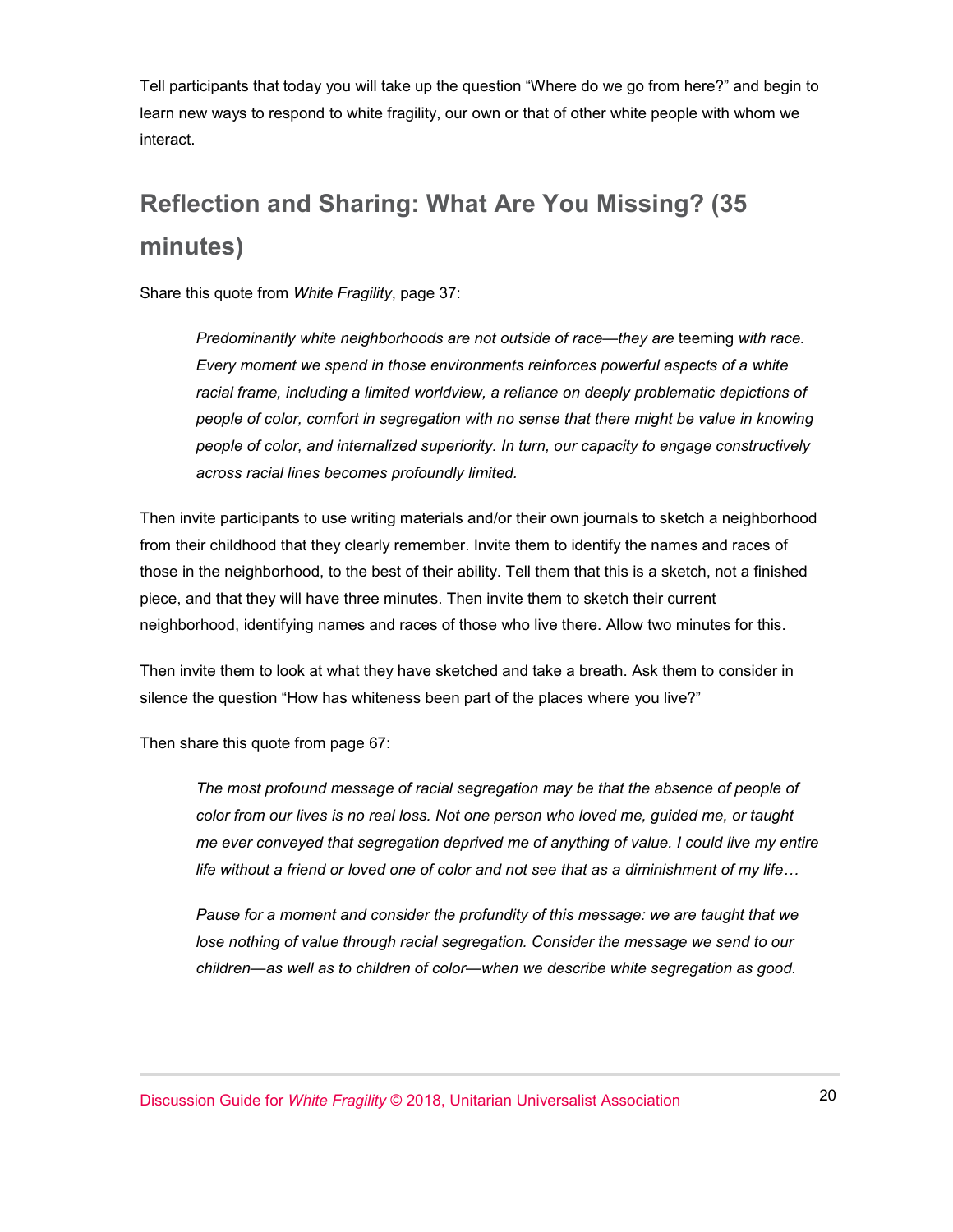Tell participants that today you will take up the question "Where do we go from here?" and begin to learn new ways to respond to white fragility, our own or that of other white people with whom we interact.

## **Reflection and Sharing: What Are You Missing? (35 minutes)**

Share this quote from *White Fragility*, page 37:

*Predominantly white neighborhoods are not outside of race—they are teeming with race. Every moment we spend in those environments reinforces powerful aspects of a white racial frame, including a limited worldview, a reliance on deeply problematic depictions of people of color, comfort in segregation with no sense that there might be value in knowing people of color, and internalized superiority. In turn, our capacity to engage constructively across racial lines becomes profoundly limited.* 

Then invite participants to use writing materials and/or their own journals to sketch a neighborhood from their childhood that they clearly remember. Invite them to identify the names and races of those in the neighborhood, to the best of their ability. Tell them that this is a sketch, not a finished piece, and that they will have three minutes. Then invite them to sketch their current neighborhood, identifying names and races of those who live there. Allow two minutes for this.

Then invite them to look at what they have sketched and take a breath. Ask them to consider in silence the question "How has whiteness been part of the places where you live?"

Then share this quote from page 67:

The most profound message of racial segregation may be that the absence of people of *color from our lives is no real loss. Not one person who loved me, guided me, or taught me ever conveyed that segregation deprived me of anything of value. I could live my entire life without a friend or loved one of color and not see that as a diminishment of my life…*

*Pause for a moment and consider the profundity of this message: we are taught that we lose nothing of value through racial segregation. Consider the message we send to our children—as well as to children of color—when we describe white segregation as good.*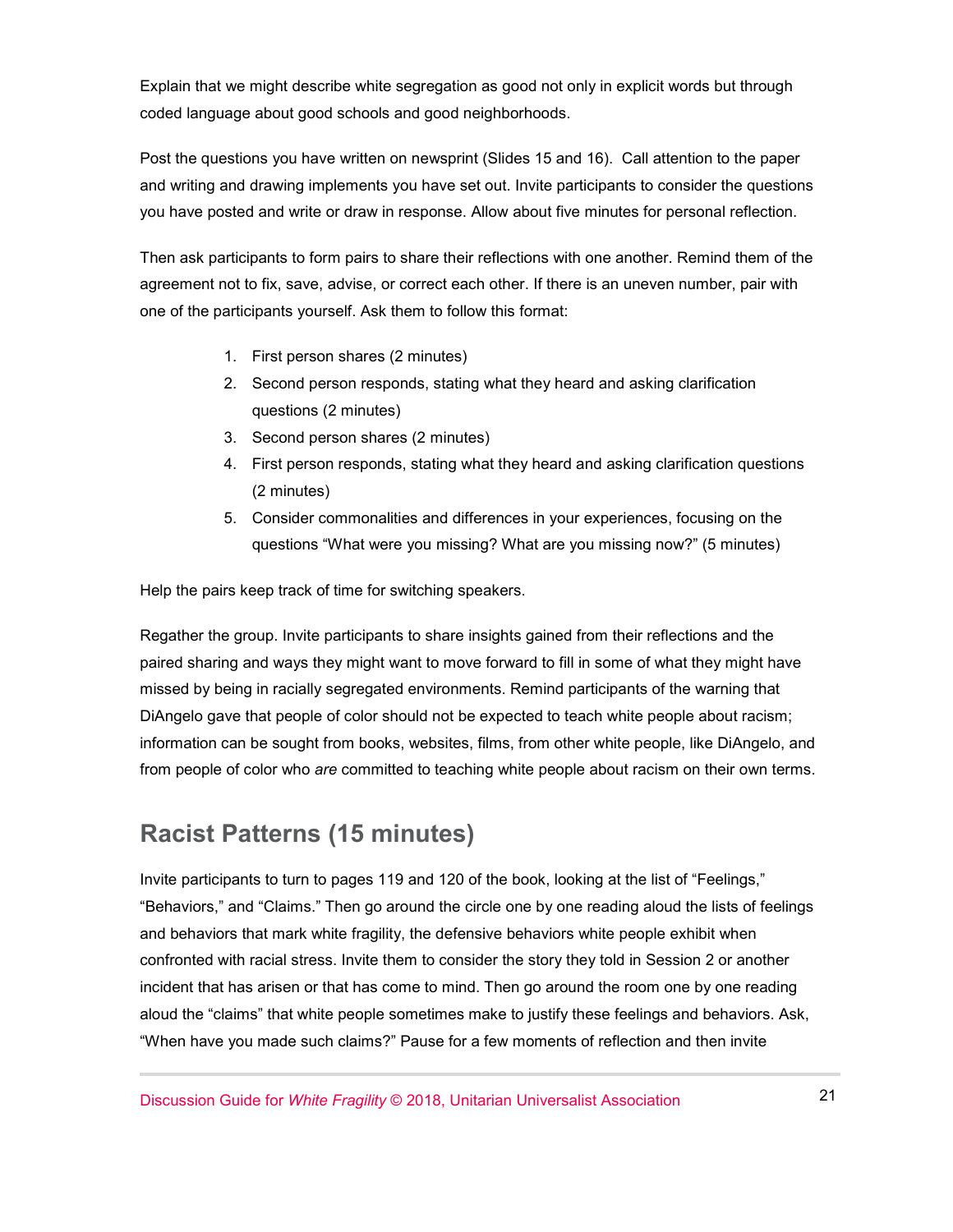Explain that we might describe white segregation as good not only in explicit words but through coded language about good schools and good neighborhoods.

Post the questions you have written on newsprint (Slides 15 and 16). Call attention to the paper and writing and drawing implements you have set out. Invite participants to consider the questions you have posted and write or draw in response. Allow about five minutes for personal reflection.

Then ask participants to form pairs to share their reflections with one another. Remind them of the agreement not to fix, save, advise, or correct each other. If there is an uneven number, pair with one of the participants yourself. Ask them to follow this format:

- 1. First person shares (2 minutes)
- 2. Second person responds, stating what they heard and asking clarification questions (2 minutes)
- 3. Second person shares (2 minutes)
- 4. First person responds, stating what they heard and asking clarification questions (2 minutes)
- 5. Consider commonalities and differences in your experiences, focusing on the questions "What were you missing? What are you missing now?" (5 minutes)

Help the pairs keep track of time for switching speakers.

Regather the group. Invite participants to share insights gained from their reflections and the paired sharing and ways they might want to move forward to fill in some of what they might have missed by being in racially segregated environments. Remind participants of the warning that DiAngelo gave that people of color should not be expected to teach white people about racism; information can be sought from books, websites, films, from other white people, like DiAngelo, and from people of color who *are* committed to teaching white people about racism on their own terms.

#### **Racist Patterns (15 minutes)**

Invite participants to turn to pages 119 and 120 of the book, looking at the list of "Feelings," "Behaviors," and "Claims." Then go around the circle one by one reading aloud the lists of feelings and behaviors that mark white fragility, the defensive behaviors white people exhibit when confronted with racial stress. Invite them to consider the story they told in Session 2 or another incident that has arisen or that has come to mind. Then go around the room one by one reading aloud the "claims" that white people sometimes make to justify these feelings and behaviors. Ask, "When have you made such claims?" Pause for a few moments of reflection and then invite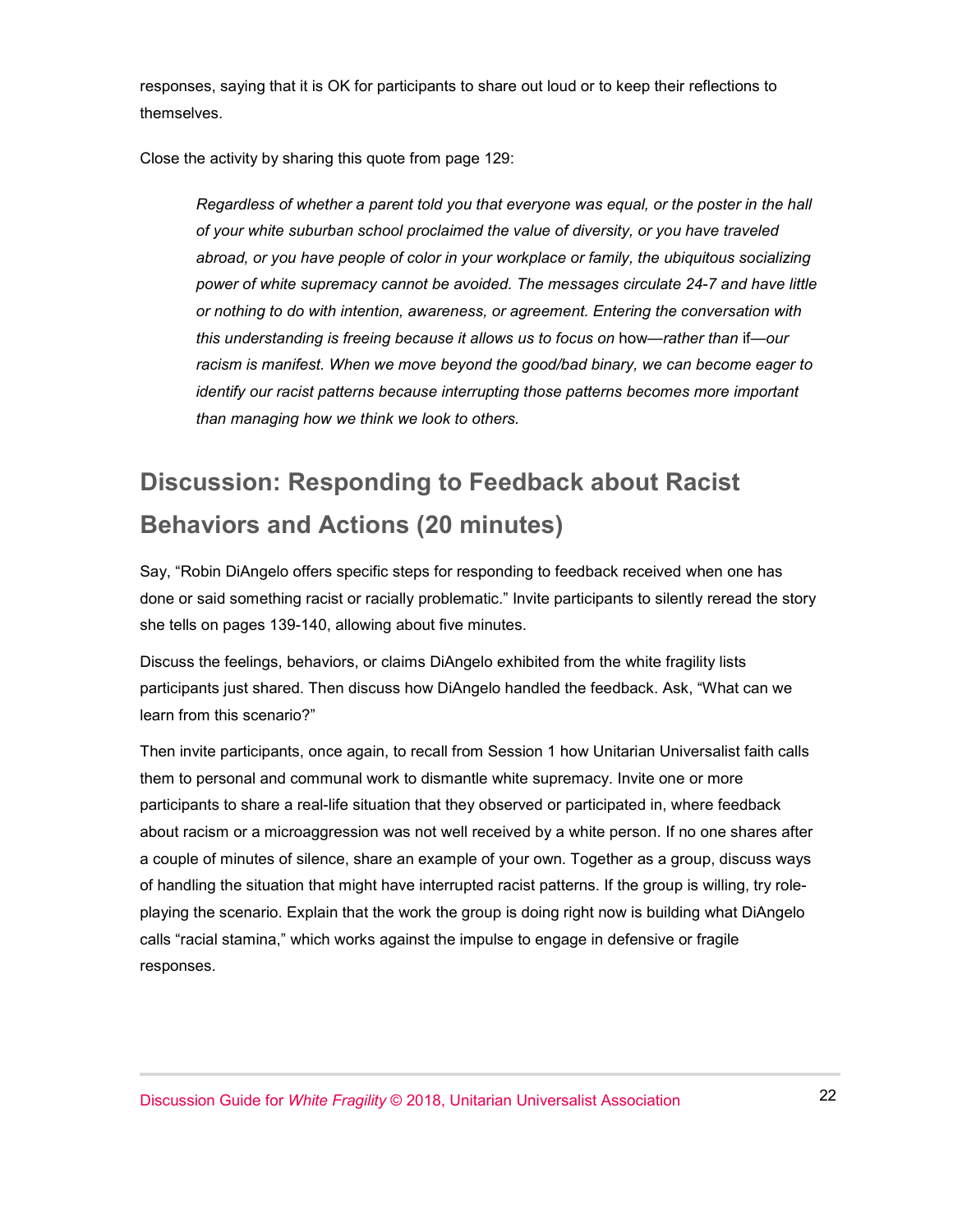responses, saying that it is OK for participants to share out loud or to keep their reflections to themselves.

Close the activity by sharing this quote from page 129:

*Regardless of whether a parent told you that everyone was equal, or the poster in the hall of your white suburban school proclaimed the value of diversity, or you have traveled abroad, or you have people of color in your workplace or family, the ubiquitous socializing power of white supremacy cannot be avoided. The messages circulate 24-7 and have little or nothing to do with intention, awareness, or agreement. Entering the conversation with this understanding is freeing because it allows us to focus on* how—*rather than* if—*our racism is manifest. When we move beyond the good/bad binary, we can become eager to identify our racist patterns because interrupting those patterns becomes more important than managing how we think we look to others.*

## **Discussion: Responding to Feedback about Racist Behaviors and Actions (20 minutes)**

Say, "Robin DiAngelo offers specific steps for responding to feedback received when one has done or said something racist or racially problematic." Invite participants to silently reread the story she tells on pages 139-140, allowing about five minutes.

Discuss the feelings, behaviors, or claims DiAngelo exhibited from the white fragility lists participants just shared. Then discuss how DiAngelo handled the feedback. Ask, "What can we learn from this scenario?"

Then invite participants, once again, to recall from Session 1 how Unitarian Universalist faith calls them to personal and communal work to dismantle white supremacy. Invite one or more participants to share a real-life situation that they observed or participated in, where feedback about racism or a microaggression was not well received by a white person. If no one shares after a couple of minutes of silence, share an example of your own. Together as a group, discuss ways of handling the situation that might have interrupted racist patterns. If the group is willing, try roleplaying the scenario. Explain that the work the group is doing right now is building what DiAngelo calls "racial stamina," which works against the impulse to engage in defensive or fragile responses.